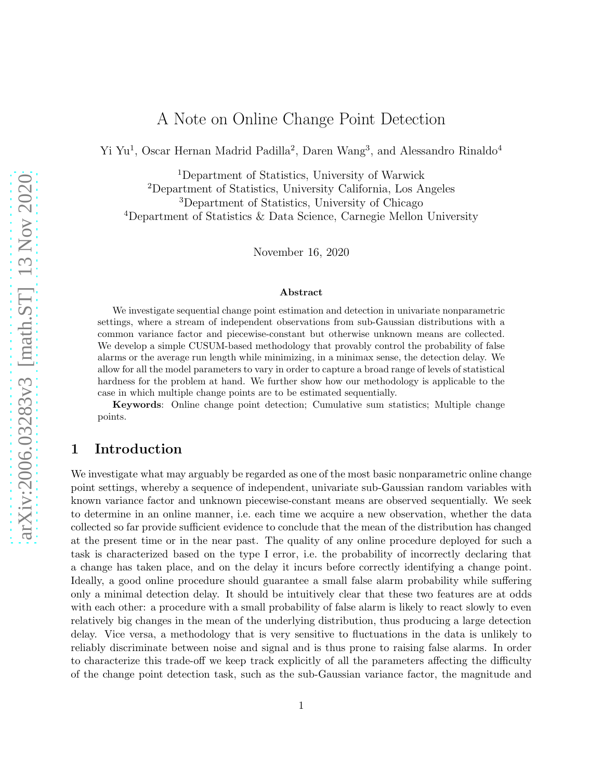# A Note on Online Change Point Detection

Yi Yu<sup>1</sup>, Oscar Hernan Madrid Padilla<sup>2</sup>, Daren Wang<sup>3</sup>, and Alessandro Rinaldo<sup>4</sup>

Department of Statistics, University of Warwick Department of Statistics, University California, Los Angeles Department of Statistics, University of Chicago Department of Statistics & Data Science, Carnegie Mellon University

November 16, 2020

#### Abstract

We investigate sequential change point estimation and detection in univariate nonparametric settings, where a stream of independent observations from sub-Gaussian distributions with a common variance factor and piecewise-constant but otherwise unknown means are collected. We develop a simple CUSUM-based methodology that provably control the probability of false alarms or the average run length while minimizing, in a minimax sense, the detection delay. We allow for all the model parameters to vary in order to capture a broad range of levels of statistical hardness for the problem at hand. We further show how our methodology is applicable to the case in which multiple change points are to be estimated sequentially.

Keywords: Online change point detection; Cumulative sum statistics; Multiple change points.

# 1 Introduction

We investigate what may arguably be regarded as one of the most basic nonparametric online change point settings, whereby a sequence of independent, univariate sub-Gaussian random variables with known variance factor and unknown piecewise-constant means are observed sequentially. We seek to determine in an online manner, i.e. each time we acquire a new observation, whether the data collected so far provide sufficient evidence to conclude that the mean of the distribution has changed at the present time or in the near past. The quality of any online procedure deployed for such a task is characterized based on the type I error, i.e. the probability of incorrectly declaring that a change has taken place, and on the delay it incurs before correctly identifying a change point. Ideally, a good online procedure should guarantee a small false alarm probability while suffering only a minimal detection delay. It should be intuitively clear that these two features are at odds with each other: a procedure with a small probability of false alarm is likely to react slowly to even relatively big changes in the mean of the underlying distribution, thus producing a large detection delay. Vice versa, a methodology that is very sensitive to fluctuations in the data is unlikely to reliably discriminate between noise and signal and is thus prone to raising false alarms. In order to characterize this trade-off we keep track explicitly of all the parameters affecting the difficulty of the change point detection task, such as the sub-Gaussian variance factor, the magnitude and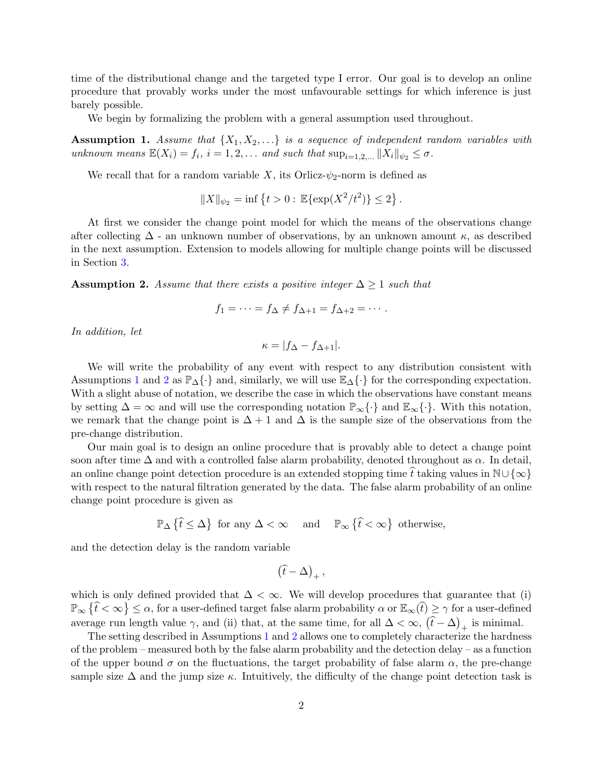time of the distributional change and the targeted type I error. Our goal is to develop an online procedure that provably works under the most unfavourable settings for which inference is just barely possible.

<span id="page-1-0"></span>We begin by formalizing the problem with a general assumption used throughout.

**Assumption 1.** Assume that  $\{X_1, X_2, \ldots\}$  is a sequence of independent random variables with unknown means  $\mathbb{E}(X_i) = f_i$ ,  $i = 1, 2, \ldots$  and such that  $\sup_{i=1, 2, \ldots} ||X_i||_{\psi_2} \leq \sigma$ .

We recall that for a random variable X, its Orlicz- $\psi_2$ -norm is defined as

$$
||X||_{\psi_2} = \inf \{ t > 0 : \mathbb{E}\{\exp(X^2/t^2)\} \le 2 \}.
$$

At first we consider the change point model for which the means of the observations change after collecting  $\Delta$  - an unknown number of observations, by an unknown amount  $\kappa$ , as described in the next assumption. Extension to models allowing for multiple change points will be discussed in Section [3.](#page-12-0)

<span id="page-1-1"></span>**Assumption 2.** Assume that there exists a positive integer  $\Delta \geq 1$  such that

$$
f_1=\cdots=f_{\Delta}\neq f_{\Delta+1}=f_{\Delta+2}=\cdots.
$$

In addition, let

$$
\kappa = |f_{\Delta} - f_{\Delta+1}|.
$$

We will write the probability of any event with respect to any distribution consistent with Assumptions [1](#page-1-0) and [2](#page-1-1) as  $\mathbb{P}_{\Delta}\{\cdot\}$  and, similarly, we will use  $\mathbb{E}_{\Delta}\{\cdot\}$  for the corresponding expectation. With a slight abuse of notation, we describe the case in which the observations have constant means by setting  $\Delta = \infty$  and will use the corresponding notation  $\mathbb{P}_{\infty} \{\cdot\}$  and  $\mathbb{E}_{\infty} \{\cdot\}$ . With this notation, we remark that the change point is  $\Delta + 1$  and  $\Delta$  is the sample size of the observations from the pre-change distribution.

Our main goal is to design an online procedure that is provably able to detect a change point soon after time  $\Delta$  and with a controlled false alarm probability, denoted throughout as  $\alpha$ . In detail, an online change point detection procedure is an extended stopping time t taking values in  $\mathbb{N}\cup\{\infty\}$ with respect to the natural filtration generated by the data. The false alarm probability of an online change point procedure is given as

$$
\mathbb{P}_{\Delta}\left\{\hat{t}\leq \Delta\right\}\text{ for any }\Delta<\infty\quad\text{ and }\quad\mathbb{P}_{\infty}\left\{\hat{t}<\infty\right\}\text{ otherwise,}
$$

and the detection delay is the random variable

$$
\left( \widehat{t}-\Delta \right) _{+},
$$

which is only defined provided that  $\Delta < \infty$ . We will develop procedures that guarantee that (i)  $\mathbb{P}_{\infty} \{\hat{t} < \infty\} \leq \alpha$ , for a user-defined target false alarm probability  $\alpha$  or  $\mathbb{E}_{\infty}(\hat{t}) \geq \gamma$  for a user-defined average run length value  $\gamma$ , and (ii) that, at the same time, for all  $\Delta < \infty$ ,  $(\hat{t} - \Delta)_{+}$  is minimal.

The setting described in Assumptions [1](#page-1-0) and [2](#page-1-1) allows one to completely characterize the hardness of the problem – measured both by the false alarm probability and the detection delay – as a function of the upper bound  $\sigma$  on the fluctuations, the target probability of false alarm  $\alpha$ , the pre-change sample size  $\Delta$  and the jump size  $\kappa$ . Intuitively, the difficulty of the change point detection task is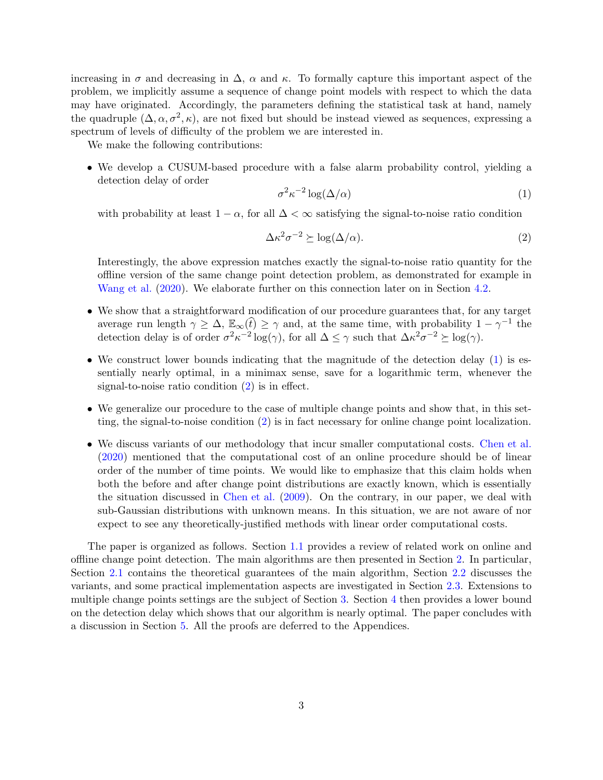increasing in  $\sigma$  and decreasing in  $\Delta$ ,  $\alpha$  and  $\kappa$ . To formally capture this important aspect of the problem, we implicitly assume a sequence of change point models with respect to which the data may have originated. Accordingly, the parameters defining the statistical task at hand, namely the quadruple  $(\Delta, \alpha, \sigma^2, \kappa)$ , are not fixed but should be instead viewed as sequences, expressing a spectrum of levels of difficulty of the problem we are interested in.

We make the following contributions:

• We develop a CUSUM-based procedure with a false alarm probability control, yielding a detection delay of order

<span id="page-2-0"></span>
$$
\sigma^2 \kappa^{-2} \log(\Delta/\alpha) \tag{1}
$$

with probability at least  $1 - \alpha$ , for all  $\Delta < \infty$  satisfying the signal-to-noise ratio condition

<span id="page-2-1"></span>
$$
\Delta \kappa^2 \sigma^{-2} \succeq \log(\Delta/\alpha). \tag{2}
$$

Interestingly, the above expression matches exactly the signal-to-noise ratio quantity for the offline version of the same change point detection problem, as demonstrated for example in [Wang et al.](#page-31-0) [\(2020](#page-31-0)). We elaborate further on this connection later on in Section [4.2.](#page-16-0)

- We show that a straightforward modification of our procedure guarantees that, for any target average run length  $\gamma \geq \Delta$ ,  $\mathbb{E}_{\infty}(\hat{t}) \geq \gamma$  and, at the same time, with probability  $1 - \gamma^{-1}$  the detection delay is of order  $\sigma^2 \kappa^{-2} \log(\gamma)$ , for all  $\Delta \leq \gamma$  such that  $\Delta \kappa^2 \sigma^{-2} \succeq \log(\gamma)$ .
- We construct lower bounds indicating that the magnitude of the detection delay [\(1\)](#page-2-0) is essentially nearly optimal, in a minimax sense, save for a logarithmic term, whenever the signal-to-noise ratio condition [\(2\)](#page-2-1) is in effect.
- We generalize our procedure to the case of multiple change points and show that, in this setting, the signal-to-noise condition [\(2\)](#page-2-1) is in fact necessary for online change point localization.
- We discuss variants of our methodology that incur smaller computational costs. [Chen et al.](#page-30-0) [\(2020](#page-30-0)) mentioned that the computational cost of an online procedure should be of linear order of the number of time points. We would like to emphasize that this claim holds when both the before and after change point distributions are exactly known, which is essentially the situation discussed in [Chen et al.](#page-30-1) [\(2009](#page-30-1)). On the contrary, in our paper, we deal with sub-Gaussian distributions with unknown means. In this situation, we are not aware of nor expect to see any theoretically-justified methods with linear order computational costs.

The paper is organized as follows. Section [1.1](#page-3-0) provides a review of related work on online and offline change point detection. The main algorithms are then presented in Section [2.](#page-4-0) In particular, Section [2.1](#page-5-0) contains the theoretical guarantees of the main algorithm, Section [2.2](#page-8-0) discusses the variants, and some practical implementation aspects are investigated in Section [2.3.](#page-10-0) Extensions to multiple change points settings are the subject of Section [3.](#page-12-0) Section [4](#page-15-0) then provides a lower bound on the detection delay which shows that our algorithm is nearly optimal. The paper concludes with a discussion in Section [5.](#page-17-0) All the proofs are deferred to the Appendices.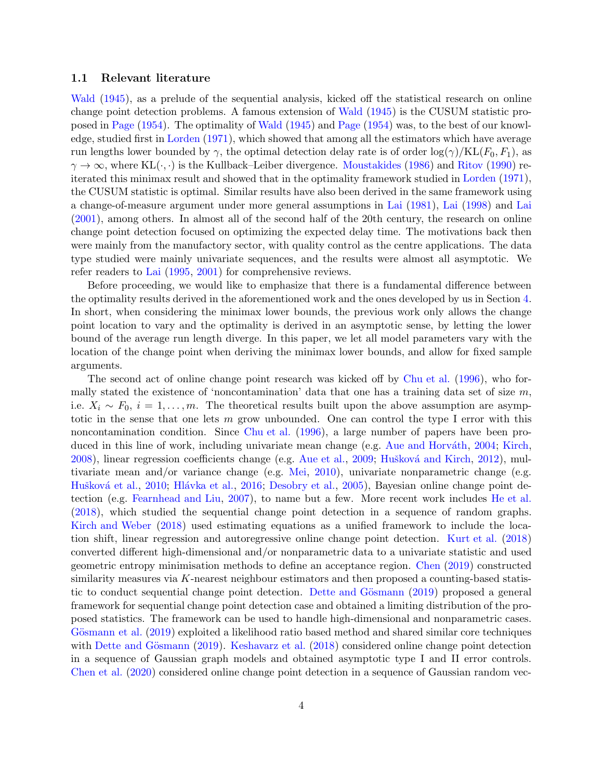### <span id="page-3-0"></span>1.1 Relevant literature

[Wald](#page-31-1)  $(1945)$  $(1945)$ , as a prelude of the sequential analysis, kicked off the statistical research on online change point detection problems. A famous extension of [Wald](#page-31-1) [\(1945](#page-31-1)) is the CUSUM statistic proposed in [Page](#page-31-2) [\(1954](#page-31-2)). The optimality of [Wald](#page-31-1) [\(1945\)](#page-31-1) and [Page](#page-31-2) [\(1954](#page-31-2)) was, to the best of our knowledge, studied first in [Lorden](#page-31-3) [\(1971](#page-31-3)), which showed that among all the estimators which have average run lengths lower bounded by  $\gamma$ , the optimal detection delay rate is of order  $\log(\gamma)/KL(F_0, F_1)$ , as  $\gamma \to \infty$ , where KL( $\cdot, \cdot$ ) is the Kullback–Leiber divergence. [Moustakides](#page-31-4) [\(1986](#page-31-4)) and [Ritov](#page-31-5) [\(1990\)](#page-31-5) reiterated this minimax result and showed that in the optimality framework studied in [Lorden](#page-31-3) [\(1971](#page-31-3)), the CUSUM statistic is optimal. Similar results have also been derived in the same framework using a change-of-measure argument under more general assumptions in [Lai](#page-31-6) [\(1981](#page-31-6)), [Lai](#page-31-7) [\(1998](#page-31-7)) and [Lai](#page-31-8) [\(2001](#page-31-8)), among others. In almost all of the second half of the 20th century, the research on online change point detection focused on optimizing the expected delay time. The motivations back then were mainly from the manufactory sector, with quality control as the centre applications. The data type studied were mainly univariate sequences, and the results were almost all asymptotic. We refer readers to [Lai](#page-31-9) [\(1995](#page-31-9), [2001\)](#page-31-8) for comprehensive reviews.

Before proceeding, we would like to emphasize that there is a fundamental difference between the optimality results derived in the aforementioned work and the ones developed by us in Section [4.](#page-15-0) In short, when considering the minimax lower bounds, the previous work only allows the change point location to vary and the optimality is derived in an asymptotic sense, by letting the lower bound of the average run length diverge. In this paper, we let all model parameters vary with the location of the change point when deriving the minimax lower bounds, and allow for fixed sample arguments.

The second act of online change point research was kicked off by [Chu et al.](#page-30-2) [\(1996](#page-30-2)), who formally stated the existence of 'noncontamination' data that one has a training data set of size  $m$ , i.e.  $X_i \sim F_0$ ,  $i = 1, \ldots, m$ . The theoretical results built upon the above assumption are asymptotic in the sense that one lets m grow unbounded. One can control the type I error with this noncontamination condition. Since [Chu et al.](#page-30-2) [\(1996](#page-30-2)), a large number of papers have been pro-duced in this line of work, including univariate mean change (e.g. Aue and Horváth, [2004](#page-30-3); [Kirch](#page-31-10), [2008\)](#page-31-10), linear regression coefficients change (e.g. [Aue et al.,](#page-30-4) [2009](#page-30-4); Hušková and Kirch, [2012](#page-30-5)), multivariate mean and/or variance change (e.g. [Mei](#page-31-11), [2010](#page-31-11)), univariate nonparametric change (e.g. Hušková et al., [2010](#page-30-6); Hlávka et al., [2016](#page-30-7); [Desobry et al.](#page-30-8), [2005](#page-30-8)), Bayesian online change point detection (e.g. [Fearnhead and Liu](#page-30-9), [2007](#page-30-9)), to name but a few. More recent work includes [He et al.](#page-30-10) [\(2018](#page-30-10)), which studied the sequential change point detection in a sequence of random graphs. [Kirch and Weber](#page-31-12) [\(2018](#page-31-12)) used estimating equations as a unified framework to include the location shift, linear regression and autoregressive online change point detection. [Kurt et al.](#page-31-13) [\(2018](#page-31-13)) converted different high-dimensional and/or nonparametric data to a univariate statistic and used geometric entropy minimisation methods to define an acceptance region. [Chen](#page-30-11) [\(2019](#page-30-11)) constructed similarity measures via  $K$ -nearest neighbour estimators and then proposed a counting-based statis-tic to conduct sequential change point detection. Dette and Gösmann [\(2019\)](#page-30-12) proposed a general framework for sequential change point detection case and obtained a limiting distribution of the proposed statistics. The framework can be used to handle high-dimensional and nonparametric cases. Gösmann et al. [\(2019\)](#page-30-13) exploited a likelihood ratio based method and shared similar core techniques with Dette and Gösmann [\(2019](#page-30-12)). [Keshavarz et al.](#page-30-14) [\(2018](#page-30-14)) considered online change point detection in a sequence of Gaussian graph models and obtained asymptotic type I and II error controls. [Chen et al.](#page-30-0) [\(2020](#page-30-0)) considered online change point detection in a sequence of Gaussian random vec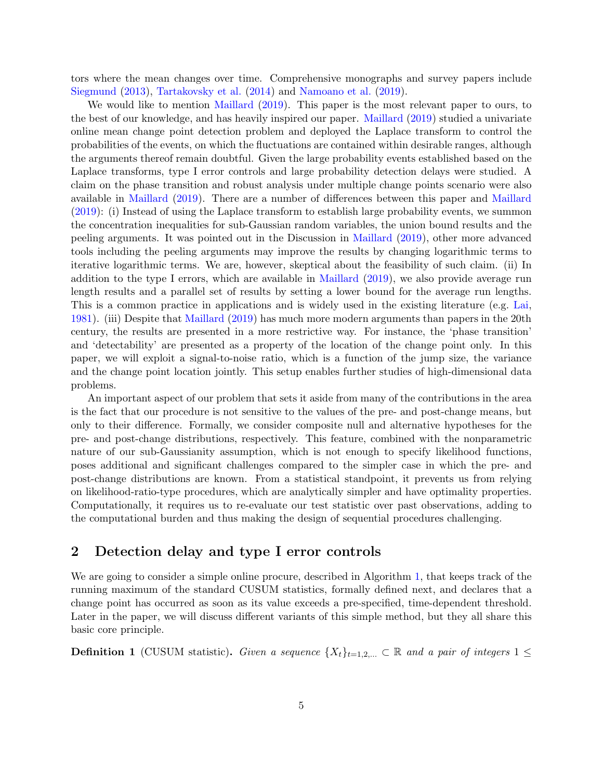tors where the mean changes over time. Comprehensive monographs and survey papers include [Siegmund](#page-31-14) [\(2013](#page-31-14)), [Tartakovsky et al.](#page-31-15) [\(2014](#page-31-15)) and [Namoano et al.](#page-31-16) [\(2019\)](#page-31-16).

We would like to mention [Maillard](#page-31-17) [\(2019](#page-31-17)). This paper is the most relevant paper to ours, to the best of our knowledge, and has heavily inspired our paper. [Maillard](#page-31-17) [\(2019\)](#page-31-17) studied a univariate online mean change point detection problem and deployed the Laplace transform to control the probabilities of the events, on which the fluctuations are contained within desirable ranges, although the arguments thereof remain doubtful. Given the large probability events established based on the Laplace transforms, type I error controls and large probability detection delays were studied. A claim on the phase transition and robust analysis under multiple change points scenario were also available in [Maillard](#page-31-17) [\(2019](#page-31-17)). There are a number of differences between this paper and [Maillard](#page-31-17) [\(2019](#page-31-17)): (i) Instead of using the Laplace transform to establish large probability events, we summon the concentration inequalities for sub-Gaussian random variables, the union bound results and the peeling arguments. It was pointed out in the Discussion in [Maillard](#page-31-17) [\(2019](#page-31-17)), other more advanced tools including the peeling arguments may improve the results by changing logarithmic terms to iterative logarithmic terms. We are, however, skeptical about the feasibility of such claim. (ii) In addition to the type I errors, which are available in [Maillard](#page-31-17) [\(2019\)](#page-31-17), we also provide average run length results and a parallel set of results by setting a lower bound for the average run lengths. This is a common practice in applications and is widely used in the existing literature (e.g. [Lai](#page-31-6), [1981\)](#page-31-6). (iii) Despite that [Maillard](#page-31-17) [\(2019](#page-31-17)) has much more modern arguments than papers in the 20th century, the results are presented in a more restrictive way. For instance, the 'phase transition' and 'detectability' are presented as a property of the location of the change point only. In this paper, we will exploit a signal-to-noise ratio, which is a function of the jump size, the variance and the change point location jointly. This setup enables further studies of high-dimensional data problems.

An important aspect of our problem that sets it aside from many of the contributions in the area is the fact that our procedure is not sensitive to the values of the pre- and post-change means, but only to their difference. Formally, we consider composite null and alternative hypotheses for the pre- and post-change distributions, respectively. This feature, combined with the nonparametric nature of our sub-Gaussianity assumption, which is not enough to specify likelihood functions, poses additional and significant challenges compared to the simpler case in which the pre- and post-change distributions are known. From a statistical standpoint, it prevents us from relying on likelihood-ratio-type procedures, which are analytically simpler and have optimality properties. Computationally, it requires us to re-evaluate our test statistic over past observations, adding to the computational burden and thus making the design of sequential procedures challenging.

### <span id="page-4-0"></span>2 Detection delay and type I error controls

We are going to consider a simple online procure, described in Algorithm [1,](#page-5-1) that keeps track of the running maximum of the standard CUSUM statistics, formally defined next, and declares that a change point has occurred as soon as its value exceeds a pre-specified, time-dependent threshold. Later in the paper, we will discuss different variants of this simple method, but they all share this basic core principle.

<span id="page-4-1"></span>**Definition 1** (CUSUM statistic). Given a sequence  $\{X_t\}_{t=1,2,...} \subset \mathbb{R}$  and a pair of integers  $1 \leq$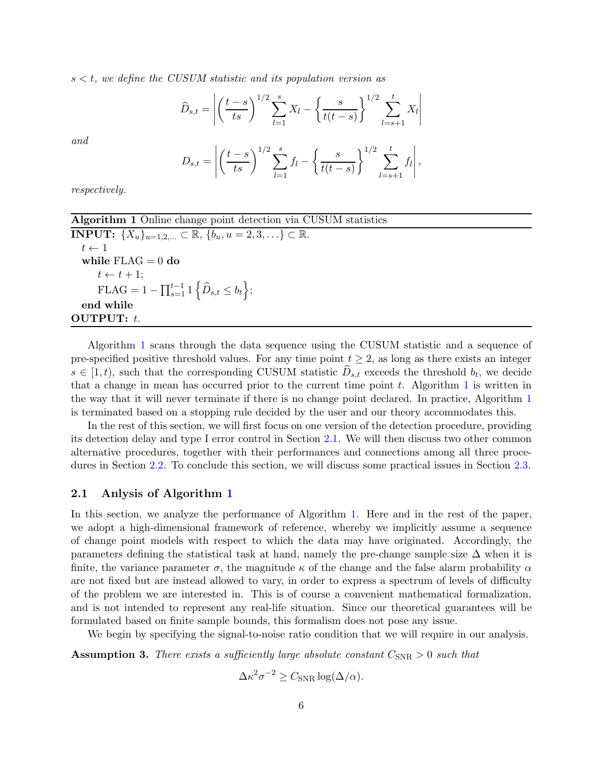$s < t$ , we define the CUSUM statistic and its population version as

$$
\widehat{D}_{s,t} = \left| \left( \frac{t-s}{ts} \right)^{1/2} \sum_{l=1}^{s} X_l - \left\{ \frac{s}{t(t-s)} \right\}^{1/2} \sum_{l=s+1}^{t} X_l \right|
$$

and

$$
D_{s,t} = \left| \left( \frac{t-s}{ts} \right)^{1/2} \sum_{l=1}^{s} f_l - \left\{ \frac{s}{t(t-s)} \right\}^{1/2} \sum_{l=s+1}^{t} f_l \right|,
$$

respectively.

| <b>Algorithm 1</b> Online change point detection via CUSUM statistics                    |
|------------------------------------------------------------------------------------------|
| <b>INPUT:</b> $\{X_u\}_{u=1,2,} \subset \mathbb{R}, \{b_u, u=2,3,\} \subset \mathbb{R}.$ |
| $t \leftarrow 1$                                                                         |
| while $FLAG = 0$ do                                                                      |
| $t \leftarrow t + 1$ ;                                                                   |
| FLAG = $1 - \prod_{s=1}^{t-1} \left\{ \widehat{D}_{s,t} \le b_t \right\};$               |
| end while                                                                                |
| OUTPUT: $t$ .                                                                            |

<span id="page-5-1"></span>Algorithm [1](#page-5-1) scans through the data sequence using the CUSUM statistic and a sequence of pre-specified positive threshold values. For any time point  $t \geq 2$ , as long as there exists an integer  $s \in [1, t)$ , such that the corresponding CUSUM statistic  $D_{s,t}$  exceeds the threshold  $b_t$ , we decide that a change in mean has occurred prior to the current time point  $t$ . Algorithm [1](#page-5-1) is written in the way that it will never terminate if there is no change point declared. In practice, Algorithm [1](#page-5-1) is terminated based on a stopping rule decided by the user and our theory accommodates this.

In the rest of this section, we will first focus on one version of the detection procedure, providing its detection delay and type I error control in Section [2.1.](#page-5-0) We will then discuss two other common alternative procedures, together with their performances and connections among all three procedures in Section [2.2.](#page-8-0) To conclude this section, we will discuss some practical issues in Section [2.3.](#page-10-0)

#### <span id="page-5-0"></span>2.1 Anlysis of Algorithm [1](#page-5-1)

In this section, we analyze the performance of Algorithm [1.](#page-5-1) Here and in the rest of the paper, we adopt a high-dimensional framework of reference, whereby we implicitly assume a sequence of change point models with respect to which the data may have originated. Accordingly, the parameters defining the statistical task at hand, namely the pre-change sample size  $\Delta$  when it is finite, the variance parameter  $\sigma$ , the magnitude  $\kappa$  of the change and the false alarm probability  $\alpha$ are not fixed but are instead allowed to vary, in order to express a spectrum of levels of difficulty of the problem we are interested in. This is of course a convenient mathematical formalization, and is not intended to represent any real-life situation. Since our theoretical guarantees will be formulated based on finite sample bounds, this formalism does not pose any issue.

<span id="page-5-2"></span>We begin by specifying the signal-to-noise ratio condition that we will require in our analysis.

**Assumption 3.** There exists a sufficiently large absolute constant  $C_{SNR} > 0$  such that

 $\Delta \kappa^2 \sigma^{-2} \geq C_{\text{SNR}} \log(\Delta/\alpha).$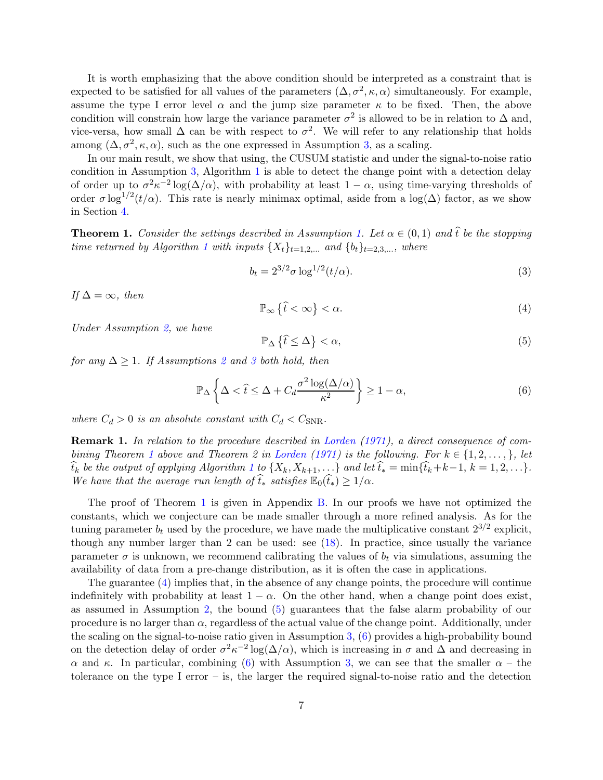It is worth emphasizing that the above condition should be interpreted as a constraint that is expected to be satisfied for all values of the parameters  $(\Delta, \sigma^2, \kappa, \alpha)$  simultaneously. For example, assume the type I error level  $\alpha$  and the jump size parameter  $\kappa$  to be fixed. Then, the above condition will constrain how large the variance parameter  $\sigma^2$  is allowed to be in relation to  $\Delta$  and, vice-versa, how small  $\Delta$  can be with respect to  $\sigma^2$ . We will refer to any relationship that holds among  $(\Delta, \sigma^2, \kappa, \alpha)$ , such as the one expressed in Assumption [3,](#page-5-2) as a scaling.

In our main result, we show that using, the CUSUM statistic and under the signal-to-noise ratio condition in Assumption [3,](#page-5-2) Algorithm [1](#page-5-1) is able to detect the change point with a detection delay of order up to  $\sigma^2 \kappa^{-2} \log(\Delta/\alpha)$ , with probability at least  $1 - \alpha$ , using time-varying thresholds of order  $\sigma \log^{1/2}(t/\alpha)$ . This rate is nearly minimax optimal, aside from a  $\log(\Delta)$  factor, as we show in Section [4.](#page-15-0)

<span id="page-6-0"></span>**Theorem [1.](#page-1-0)** Consider the settings described in Assumption 1. Let  $\alpha \in (0,1)$  and  $\hat{t}$  be the stopping time returned by Algorithm [1](#page-5-1) with inputs  $\{X_t\}_{t=1,2,...}$  and  $\{b_t\}_{t=2,3,...}$ , where

<span id="page-6-4"></span>
$$
b_t = 2^{3/2} \sigma \log^{1/2}(t/\alpha).
$$
 (3)

If  $\Delta = \infty$ , then

<span id="page-6-1"></span>
$$
\mathbb{P}_{\infty}\left\{\hat{t} < \infty\right\} < \alpha. \tag{4}
$$

Under Assumption [2,](#page-1-1) we have

<span id="page-6-2"></span>
$$
\mathbb{P}_{\Delta}\left\{\hat{t}\leq\Delta\right\}<\alpha,\tag{5}
$$

for any  $\Delta \geq 1$ . If Assumptions [2](#page-1-1) and [3](#page-5-2) both hold, then

<span id="page-6-3"></span>
$$
\mathbb{P}_{\Delta} \left\{ \Delta < \hat{t} \le \Delta + C_d \frac{\sigma^2 \log(\Delta/\alpha)}{\kappa^2} \right\} \ge 1 - \alpha,\tag{6}
$$

where  $C_d > 0$  is an absolute constant with  $C_d < C_{SNR}$ .

Remark 1. In relation to the procedure described in [Lorden](#page-31-3) [\(1971](#page-31-3)), a direct consequence of com-bining Theorem [1](#page-6-0) above and Theorem 2 in [Lorden](#page-31-3) [\(1971\)](#page-31-3) is the following. For  $k \in \{1, 2, ..., \}$ , let  $\widehat{t}_k$  be the output of applying Algorithm [1](#page-5-1) to  $\{X_k, X_{k+1}, \ldots\}$  and let  $\widehat{t}_* = \min{\{\widehat{t}_k + k-1, k = 1, 2, \ldots\}}$ . We have that the average run length of  $\widehat{t}_*$  satisfies  $\mathbb{E}_0(\widehat{t}_*) \geq 1/\alpha$ .

The proof of Theorem [1](#page-6-0) is given in Appendix [B.](#page-20-0) In our proofs we have not optimized the constants, which we conjecture can be made smaller through a more refined analysis. As for the tuning parameter  $b_t$  used by the procedure, we have made the multiplicative constant  $2^{3/2}$  explicit, though any number larger than 2 can be used: see [\(18\)](#page-18-0). In practice, since usually the variance parameter  $\sigma$  is unknown, we recommend calibrating the values of  $b_t$  via simulations, assuming the availability of data from a pre-change distribution, as it is often the case in applications.

The guarantee [\(4\)](#page-6-1) implies that, in the absence of any change points, the procedure will continue indefinitely with probability at least  $1 - \alpha$ . On the other hand, when a change point does exist, as assumed in Assumption [2,](#page-1-1) the bound [\(5\)](#page-6-2) guarantees that the false alarm probability of our procedure is no larger than  $\alpha$ , regardless of the actual value of the change point. Additionally, under the scaling on the signal-to-noise ratio given in Assumption [3,](#page-5-2) [\(6\)](#page-6-3) provides a high-probability bound on the detection delay of order  $\sigma^2 \kappa^{-2} \log(\Delta/\alpha)$ , which is increasing in  $\sigma$  and  $\Delta$  and decreasing in α and κ. In particular, combining [\(6\)](#page-6-3) with Assumption [3,](#page-5-2) we can see that the smaller  $\alpha$  – the tolerance on the type I error – is, the larger the required signal-to-noise ratio and the detection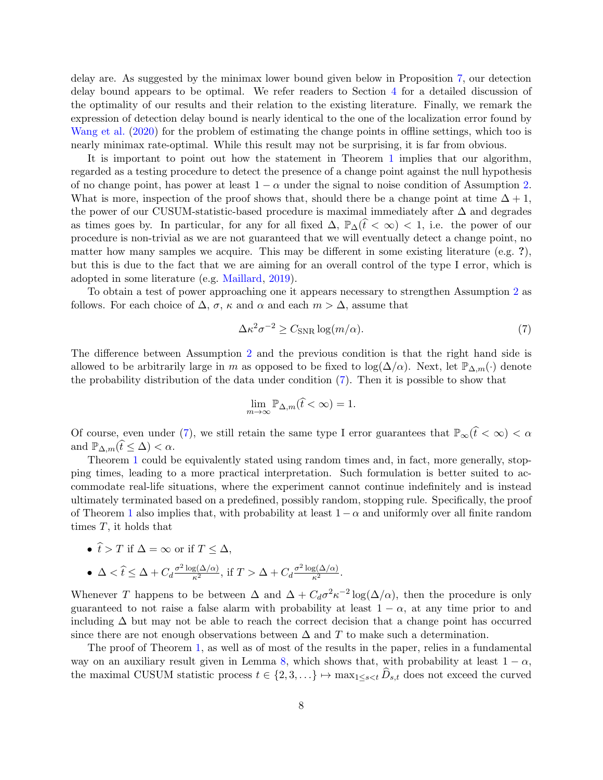delay are. As suggested by the minimax lower bound given below in Proposition [7,](#page-15-1) our detection delay bound appears to be optimal. We refer readers to Section [4](#page-15-0) for a detailed discussion of the optimality of our results and their relation to the existing literature. Finally, we remark the expression of detection delay bound is nearly identical to the one of the localization error found by [Wang et al.](#page-31-0) [\(2020](#page-31-0)) for the problem of estimating the change points in offline settings, which too is nearly minimax rate-optimal. While this result may not be surprising, it is far from obvious.

It is important to point out how the statement in Theorem [1](#page-6-0) implies that our algorithm, regarded as a testing procedure to detect the presence of a change point against the null hypothesis of no change point, has power at least  $1 - \alpha$  under the signal to noise condition of Assumption [2.](#page-1-1) What is more, inspection of the proof shows that, should there be a change point at time  $\Delta + 1$ , the power of our CUSUM-statistic-based procedure is maximal immediately after ∆ and degrades as times goes by. In particular, for any for all fixed  $\Delta$ ,  $\mathbb{P}_{\Delta}(\hat{t} < \infty) < 1$ , i.e. the power of our procedure is non-trivial as we are not guaranteed that we will eventually detect a change point, no matter how many samples we acquire. This may be different in some existing literature (e.g. ?), but this is due to the fact that we are aiming for an overall control of the type I error, which is adopted in some literature (e.g. [Maillard](#page-31-17), [2019\)](#page-31-17).

To obtain a test of power approaching one it appears necessary to strengthen Assumption [2](#page-1-1) as follows. For each choice of  $\Delta$ ,  $\sigma$ ,  $\kappa$  and  $\alpha$  and each  $m > \Delta$ , assume that

<span id="page-7-0"></span>
$$
\Delta \kappa^2 \sigma^{-2} \ge C_{\text{SNR}} \log(m/\alpha). \tag{7}
$$

The difference between Assumption [2](#page-1-1) and the previous condition is that the right hand side is allowed to be arbitrarily large in m as opposed to be fixed to  $\log(\Delta/\alpha)$ . Next, let  $\mathbb{P}_{\Delta,m}(\cdot)$  denote the probability distribution of the data under condition [\(7\)](#page-7-0). Then it is possible to show that

$$
\lim_{m \to \infty} \mathbb{P}_{\Delta,m}(\hat{t} < \infty) = 1.
$$

Of course, even under [\(7\)](#page-7-0), we still retain the same type I error guarantees that  $\mathbb{P}_{\infty}(\hat{t} < \infty) < \alpha$ and  $\mathbb{P}_{\Delta,m}(\hat{t} \leq \Delta) < \alpha$ .

Theorem [1](#page-6-0) could be equivalently stated using random times and, in fact, more generally, stopping times, leading to a more practical interpretation. Such formulation is better suited to accommodate real-life situations, where the experiment cannot continue indefinitely and is instead ultimately terminated based on a predefined, possibly random, stopping rule. Specifically, the proof of Theorem [1](#page-6-0) also implies that, with probability at least  $1-\alpha$  and uniformly over all finite random times T, it holds that

• 
$$
\hat{t} > T
$$
 if  $\Delta = \infty$  or if  $T \leq \Delta$ ,

• 
$$
\Delta < \hat{t} \le \Delta + C_d \frac{\sigma^2 \log(\Delta/\alpha)}{\kappa^2}
$$
, if  $T > \Delta + C_d \frac{\sigma^2 \log(\Delta/\alpha)}{\kappa^2}$ .

Whenever T happens to be between  $\Delta$  and  $\Delta + C_d \sigma^2 \kappa^{-2} \log(\Delta/\alpha)$ , then the procedure is only guaranteed to not raise a false alarm with probability at least  $1 - \alpha$ , at any time prior to and including  $\Delta$  but may not be able to reach the correct decision that a change point has occurred since there are not enough observations between  $\Delta$  and T to make such a determination.

The proof of Theorem [1,](#page-6-0) as well as of most of the results in the paper, relies in a fundamental way on an auxiliary result given in Lemma [8,](#page-17-1) which shows that, with probability at least  $1 - \alpha$ , the maximal CUSUM statistic process  $t \in \{2, 3, \ldots\} \mapsto \max_{1 \leq s \leq t} D_{s,t}$  does not exceed the curved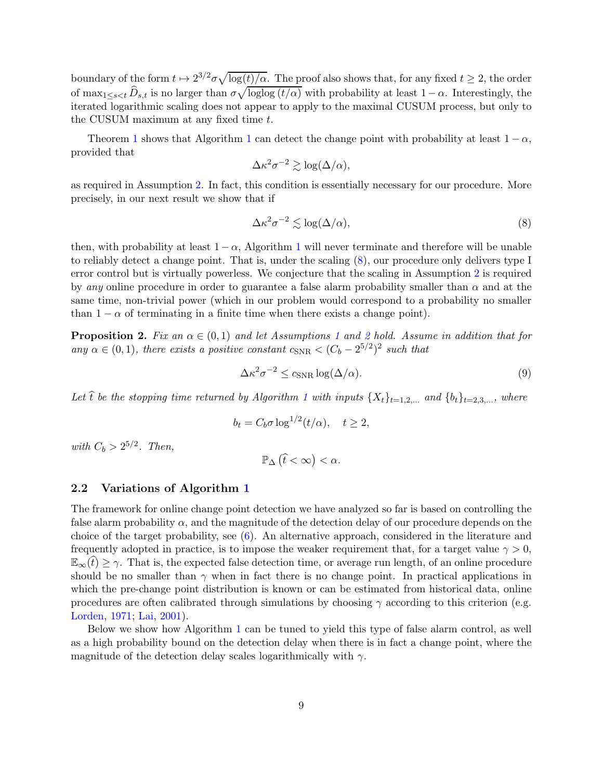boundary of the form  $t \mapsto 2^{3/2}\sigma\sqrt{\log(t)/\alpha}$ . The proof also shows that, for any fixed  $t \geq 2$ , the order of  $\max_{1 \leq s < t} \widehat{D}_{s,t}$  is no larger than  $\sigma \sqrt{\log \log (t/\alpha)}$  with probability at least  $1-\alpha$ . Interestingly, the iterated logarithmic scaling does not appear to apply to the maximal CUSUM process, but only to the CUSUM maximum at any fixed time t.

Theorem [1](#page-5-1) shows that Algorithm 1 can detect the change point with probability at least  $1 - \alpha$ , provided that

$$
\Delta \kappa^2 \sigma^{-2} \gtrsim \log(\Delta/\alpha),
$$

as required in Assumption [2.](#page-1-1) In fact, this condition is essentially necessary for our procedure. More precisely, in our next result we show that if

<span id="page-8-1"></span>
$$
\Delta \kappa^2 \sigma^{-2} \lesssim \log(\Delta/\alpha),\tag{8}
$$

then, with probability at least  $1-\alpha$  $1-\alpha$ , Algorithm 1 will never terminate and therefore will be unable to reliably detect a change point. That is, under the scaling [\(8\)](#page-8-1), our procedure only delivers type I error control but is virtually powerless. We conjecture that the scaling in Assumption [2](#page-1-1) is required by any online procedure in order to guarantee a false alarm probability smaller than  $\alpha$  and at the same time, non-trivial power (which in our problem would correspond to a probability no smaller than  $1 - \alpha$  of terminating in a finite time when there exists a change point).

<span id="page-8-3"></span>**Proposition [2](#page-1-1).** Fix an  $\alpha \in (0,1)$  $\alpha \in (0,1)$  $\alpha \in (0,1)$  and let Assumptions 1 and 2 hold. Assume in addition that for any  $\alpha \in (0, 1)$ , there exists a positive constant  $c_{SNR} < (C_b - 2^{5/2})^2$  such that

<span id="page-8-4"></span>
$$
\Delta \kappa^2 \sigma^{-2} \le c_{\text{SNR}} \log(\Delta/\alpha). \tag{9}
$$

Let  $\hat{t}$  be the stopping time returned by Algorithm [1](#page-5-1) with inputs  $\{X_t\}_{t=1,2,\ldots}$  and  $\{b_t\}_{t=2,3,\ldots}$ , where

$$
b_t = C_b \sigma \log^{1/2}(t/\alpha), \quad t \ge 2,
$$

with  $C_b > 2^{5/2}$ . Then,

$$
\mathbb{P}_{\Delta}\left(\widehat{t}<\infty\right)<\alpha.
$$

#### <span id="page-8-0"></span>2.2 Variations of Algorithm [1](#page-5-1)

The framework for online change point detection we have analyzed so far is based on controlling the false alarm probability  $\alpha$ , and the magnitude of the detection delay of our procedure depends on the choice of the target probability, see [\(6\)](#page-6-3). An alternative approach, considered in the literature and frequently adopted in practice, is to impose the weaker requirement that, for a target value  $\gamma > 0$ ,  $\mathbb{E}_{\infty}(t) \geq \gamma$ . That is, the expected false detection time, or average run length, of an online procedure should be no smaller than  $\gamma$  when in fact there is no change point. In practical applications in which the pre-change point distribution is known or can be estimated from historical data, online procedures are often calibrated through simulations by choosing  $\gamma$  according to this criterion (e.g. [Lorden,](#page-31-3) [1971](#page-31-3); [Lai](#page-31-8), [2001](#page-31-8)).

<span id="page-8-2"></span>Below we show how Algorithm [1](#page-5-1) can be tuned to yield this type of false alarm control, as well as a high probability bound on the detection delay when there is in fact a change point, where the magnitude of the detection delay scales logarithmically with  $\gamma$ .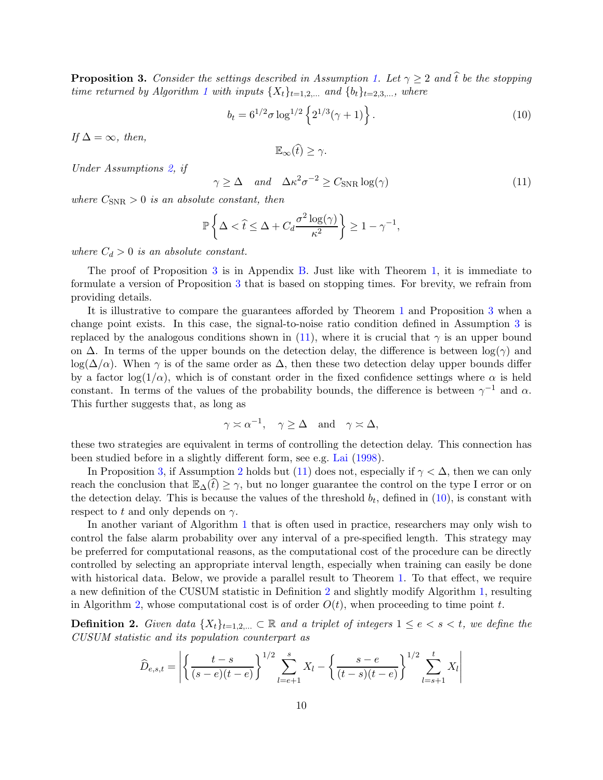**Proposition 3.** Consider the settings described in Assumption [1.](#page-1-0) Let  $\gamma \geq 2$  and  $\hat{t}$  be the stopping time returned by Algorithm [1](#page-5-1) with inputs  $\{X_t\}_{t=1,2,...}$  and  $\{b_t\}_{t=2,3,...}$ , where

<span id="page-9-1"></span>
$$
b_t = 6^{1/2} \sigma \log^{1/2} \left\{ 2^{1/3} (\gamma + 1) \right\}.
$$
 (10)

If  $\Delta = \infty$ , then,

$$
\mathbb{E}_{\infty}(\widehat{t}) \geq \gamma.
$$

Under Assumptions [2,](#page-1-1) if

<span id="page-9-0"></span>
$$
\gamma \ge \Delta \quad \text{and} \quad \Delta \kappa^2 \sigma^{-2} \ge C_{\text{SNR}} \log(\gamma) \tag{11}
$$

where  $C_{SNR} > 0$  is an absolute constant, then

$$
\mathbb{P}\left\{\Delta < \hat{t} \le \Delta + C_d \frac{\sigma^2 \log(\gamma)}{\kappa^2}\right\} \ge 1 - \gamma^{-1},
$$

where  $C_d > 0$  is an absolute constant.

The proof of Proposition [3](#page-8-2) is in Appendix [B.](#page-20-0) Just like with Theorem [1,](#page-6-0) it is immediate to formulate a version of Proposition [3](#page-8-2) that is based on stopping times. For brevity, we refrain from providing details.

It is illustrative to compare the guarantees afforded by Theorem [1](#page-6-0) and Proposition [3](#page-8-2) when a change point exists. In this case, the signal-to-noise ratio condition defined in Assumption [3](#page-5-2) is replaced by the analogous conditions shown in [\(11\)](#page-9-0), where it is crucial that  $\gamma$  is an upper bound on  $\Delta$ . In terms of the upper bounds on the detection delay, the difference is between  $\log(\gamma)$  and  $\log(\Delta/\alpha)$ . When  $\gamma$  is of the same order as  $\Delta$ , then these two detection delay upper bounds differ by a factor  $log(1/\alpha)$ , which is of constant order in the fixed confidence settings where  $\alpha$  is held constant. In terms of the values of the probability bounds, the difference is between  $\gamma^{-1}$  and  $\alpha$ . This further suggests that, as long as

$$
\gamma \asymp \alpha^{-1}, \quad \gamma \ge \Delta \quad \text{and} \quad \gamma \asymp \Delta,
$$

these two strategies are equivalent in terms of controlling the detection delay. This connection has been studied before in a slightly different form, see e.g. [Lai](#page-31-7) [\(1998](#page-31-7)).

In Proposition [3,](#page-8-2) if Assumption [2](#page-1-1) holds but [\(11\)](#page-9-0) does not, especially if  $\gamma < \Delta$ , then we can only reach the conclusion that  $\mathbb{E}_{\Delta}(t) \geq \gamma$ , but no longer guarantee the control on the type I error or on the detection delay. This is because the values of the threshold  $b_t$ , defined in  $(10)$ , is constant with respect to t and only depends on  $\gamma$ .

In another variant of Algorithm [1](#page-5-1) that is often used in practice, researchers may only wish to control the false alarm probability over any interval of a pre-specified length. This strategy may be preferred for computational reasons, as the computational cost of the procedure can be directly controlled by selecting an appropriate interval length, especially when training can easily be done with historical data. Below, we provide a parallel result to Theorem [1.](#page-6-0) To that effect, we require a new definition of the CUSUM statistic in Definition [2](#page-9-2) and slightly modify Algorithm [1,](#page-5-1) resulting in Algorithm [2,](#page-10-1) whose computational cost is of order  $O(t)$ , when proceeding to time point t.

<span id="page-9-2"></span>**Definition 2.** Given data  $\{X_t\}_{t=1,2,...} \subset \mathbb{R}$  and a triplet of integers  $1 \leq e < s < t$ , we define the CUSUM statistic and its population counterpart as

$$
\widehat{D}_{e,s,t} = \left| \left\{ \frac{t-s}{(s-e)(t-e)} \right\}^{1/2} \sum_{l=e+1}^{s} X_l - \left\{ \frac{s-e}{(t-s)(t-e)} \right\}^{1/2} \sum_{l=s+1}^{t} X_l \right|
$$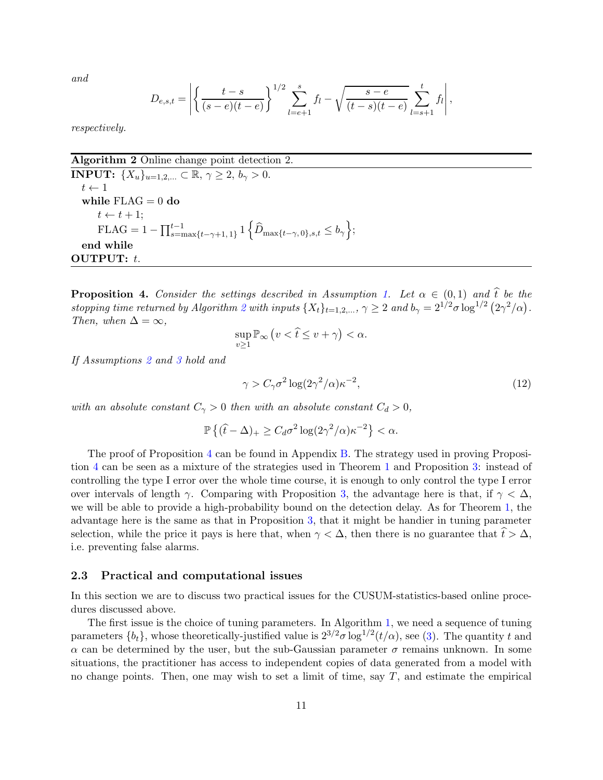and

$$
D_{e,s,t} = \left| \left\{ \frac{t-s}{(s-e)(t-e)} \right\}^{1/2} \sum_{l=e+1}^{s} f_l - \sqrt{\frac{s-e}{(t-s)(t-e)}} \sum_{l=s+1}^{t} f_l \right|,
$$

respectively.

Algorithm 2 Online change point detection 2.

**INPUT:**  $\{X_u\}_{u=1,2,...} \subset \mathbb{R}, \gamma \geq 2, b_\gamma > 0.$  $t \leftarrow 1$ while  $FLAG = 0$  do  $t \leftarrow t + 1;$  $\text{FLAG} = 1 - \prod_{s=\text{max}}^{t-1} \{t_{-\gamma+1,1}\} \mathbb{1} \{\hat{D}_{\text{max}}_{t-\gamma,0}, s,t \leq b_{\gamma}\};$ end while OUTPUT: t.

<span id="page-10-2"></span><span id="page-10-1"></span>**Proposition 4.** Consider the settings described in Assumption [1.](#page-1-0) Let  $\alpha \in (0,1)$  and  $\hat{t}$  be the stopping time returned by Algorithm [2](#page-10-1) with inputs  $\{X_t\}_{t=1,2,...}$ ,  $\gamma \geq 2$  and  $b_{\gamma} = 2^{1/2} \sigma \log^{1/2} (2\gamma^2/\alpha)$ . Then, when  $\Delta = \infty$ ,

$$
\sup_{v\geq 1} \mathbb{P}_{\infty} \left( v < \hat{t} \leq v + \gamma \right) < \alpha.
$$

If Assumptions [2](#page-1-1) and [3](#page-5-2) hold and

<span id="page-10-3"></span>
$$
\gamma > C_{\gamma} \sigma^2 \log(2\gamma^2/\alpha) \kappa^{-2},\tag{12}
$$

with an absolute constant  $C_{\gamma} > 0$  then with an absolute constant  $C_d > 0$ ,

$$
\mathbb{P}\left\{(\hat{t}-\Delta)_+\geq C_d\sigma^2\log(2\gamma^2/\alpha)\kappa^{-2}\right\}<\alpha.
$$

The proof of Proposition [4](#page-10-2) can be found in Appendix [B.](#page-20-0) The strategy used in proving Proposition [4](#page-10-2) can be seen as a mixture of the strategies used in Theorem [1](#page-6-0) and Proposition [3:](#page-8-2) instead of controlling the type I error over the whole time course, it is enough to only control the type I error over intervals of length  $\gamma$ . Comparing with Proposition [3,](#page-8-2) the advantage here is that, if  $\gamma < \Delta$ , we will be able to provide a high-probability bound on the detection delay. As for Theorem [1,](#page-6-0) the advantage here is the same as that in Proposition [3,](#page-8-2) that it might be handier in tuning parameter selection, while the price it pays is here that, when  $\gamma < \Delta$ , then there is no guarantee that  $t > \Delta$ , i.e. preventing false alarms.

#### <span id="page-10-0"></span>2.3 Practical and computational issues

In this section we are to discuss two practical issues for the CUSUM-statistics-based online procedures discussed above.

The first issue is the choice of tuning parameters. In Algorithm [1,](#page-5-1) we need a sequence of tuning parameters  $\{b_t\}$ , whose theoretically-justified value is  $2^{3/2}\sigma \log^{1/2}(t/\alpha)$ , see [\(3\)](#page-6-4). The quantity t and  $\alpha$  can be determined by the user, but the sub-Gaussian parameter  $\sigma$  remains unknown. In some situations, the practitioner has access to independent copies of data generated from a model with no change points. Then, one may wish to set a limit of time, say  $T$ , and estimate the empirical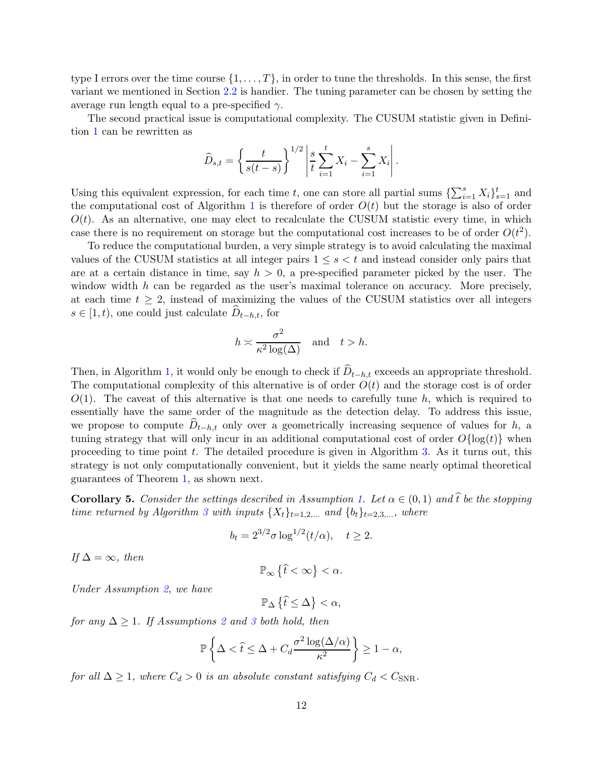type I errors over the time course  $\{1, \ldots, T\}$ , in order to tune the thresholds. In this sense, the first variant we mentioned in Section [2.2](#page-8-0) is handier. The tuning parameter can be chosen by setting the average run length equal to a pre-specified  $\gamma$ .

The second practical issue is computational complexity. The CUSUM statistic given in Definition [1](#page-4-1) can be rewritten as

$$
\widehat{D}_{s,t} = \left\{ \frac{t}{s(t-s)} \right\}^{1/2} \left| \frac{s}{t} \sum_{i=1}^{t} X_i - \sum_{i=1}^{s} X_i \right|.
$$

Using this equivalent expression, for each time t, one can store all partial sums  $\{\sum_{i=1}^{s} X_i\}_{s=1}^t$  and the computational cost of Algorithm [1](#page-5-1) is therefore of order  $O(t)$  but the storage is also of order  $O(t)$ . As an alternative, one may elect to recalculate the CUSUM statistic every time, in which case there is no requirement on storage but the computational cost increases to be of order  $O(t^2)$ .

To reduce the computational burden, a very simple strategy is to avoid calculating the maximal values of the CUSUM statistics at all integer pairs  $1 \leq s < t$  and instead consider only pairs that are at a certain distance in time, say  $h > 0$ , a pre-specified parameter picked by the user. The window width  $h$  can be regarded as the user's maximal tolerance on accuracy. More precisely, at each time  $t \geq 2$ , instead of maximizing the values of the CUSUM statistics over all integers  $s \in [1, t)$ , one could just calculate  $D_{t-h,t}$ , for

$$
h \asymp \frac{\sigma^2}{\kappa^2 \log(\Delta)} \quad \text{and} \quad t > h.
$$

Then, in Algorithm [1,](#page-5-1) it would only be enough to check if  $D_{t-h,t}$  exceeds an appropriate threshold. The computational complexity of this alternative is of order  $O(t)$  and the storage cost is of order  $O(1)$ . The caveat of this alternative is that one needs to carefully tune h, which is required to essentially have the same order of the magnitude as the detection delay. To address this issue, we propose to compute  $D_{t-h,t}$  only over a geometrically increasing sequence of values for h, a tuning strategy that will only incur in an additional computational cost of order  $O\{\log(t)\}\$  when proceeding to time point t. The detailed procedure is given in Algorithm [3.](#page-12-1) As it turns out, this strategy is not only computationally convenient, but it yields the same nearly optimal theoretical guarantees of Theorem [1,](#page-6-0) as shown next.

<span id="page-11-0"></span>**Corollary 5.** Consider the settings described in Assumption [1.](#page-1-0) Let  $\alpha \in (0,1)$  and  $\hat{t}$  be the stopping time returned by Algorithm [3](#page-12-1) with inputs  $\{X_t\}_{t=1,2,\dots}$  and  $\{b_t\}_{t=2,3,\dots}$ , where

$$
b_t = 2^{3/2} \sigma \log^{1/2}(t/\alpha), \quad t \ge 2.
$$

If  $\Delta = \infty$ , then

$$
\mathbb{P}_\infty\left\{\widehat{t}<\infty\right\}<\alpha.
$$

Under Assumption [2,](#page-1-1) we have

 $\mathbb{P}_{\Delta} \left\{ \widehat{t} \leq \Delta \right\} < \alpha,$ 

for any  $\Delta \geq 1$ . If Assumptions [2](#page-1-1) and [3](#page-5-2) both hold, then

$$
\mathbb{P}\left\{\Delta < \widehat{t} \le \Delta + C_d \frac{\sigma^2 \log(\Delta/\alpha)}{\kappa^2}\right\} \ge 1 - \alpha,
$$

for all  $\Delta \geq 1$ , where  $C_d > 0$  is an absolute constant satisfying  $C_d < C_{SNR}$ .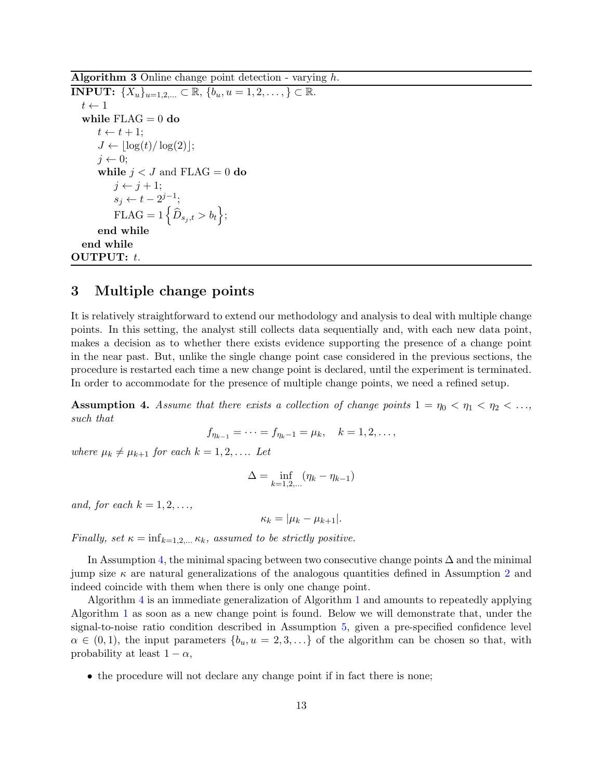Algorithm 3 Online change point detection - varying  $h$ .

**INPUT:**  $\{X_u\}_{u=1,2,...} \subset \mathbb{R}, \{b_u, u=1,2,...,\} \subset \mathbb{R}.$  $t \leftarrow 1$ while  $FLAG = 0$  do  $t \leftarrow t + 1;$  $J \leftarrow \lfloor \log(t)/\log(2) \rfloor;$  $j \leftarrow 0;$ while  $j < J$  and FLAG = 0 do  $j \leftarrow j + 1;$  $s_j \leftarrow t - 2^{j-1};$  $\text{FLAG} = 1\left\{\widehat{D}_{s_j,t} > b_t\right\};$ end while end while OUTPUT: t.

### <span id="page-12-1"></span><span id="page-12-0"></span>3 Multiple change points

It is relatively straightforward to extend our methodology and analysis to deal with multiple change points. In this setting, the analyst still collects data sequentially and, with each new data point, makes a decision as to whether there exists evidence supporting the presence of a change point in the near past. But, unlike the single change point case considered in the previous sections, the procedure is restarted each time a new change point is declared, until the experiment is terminated. In order to accommodate for the presence of multiple change points, we need a refined setup.

<span id="page-12-2"></span>**Assumption 4.** Assume that there exists a collection of change points  $1 = \eta_0 < \eta_1 < \eta_2 < \ldots$ such that

$$
f_{\eta_{k-1}} = \cdots = f_{\eta_k - 1} = \mu_k, \quad k = 1, 2, \ldots,
$$

where  $\mu_k \neq \mu_{k+1}$  for each  $k = 1, 2, \ldots$  Let

$$
\Delta = \inf_{k=1,2,...} (\eta_k - \eta_{k-1})
$$

and, for each  $k = 1, 2, \ldots$ ,

$$
\kappa_k = |\mu_k - \mu_{k+1}|.
$$

Finally, set  $\kappa = \inf_{k=1,2,...,K_k}$ , assumed to be strictly positive.

In Assumption [4,](#page-12-2) the minimal spacing between two consecutive change points  $\Delta$  and the minimal jump size  $\kappa$  are natural generalizations of the analogous quantities defined in Assumption [2](#page-1-1) and indeed coincide with them when there is only one change point.

Algorithm [4](#page-13-0) is an immediate generalization of Algorithm [1](#page-5-1) and amounts to repeatedly applying Algorithm [1](#page-5-1) as soon as a new change point is found. Below we will demonstrate that, under the signal-to-noise ratio condition described in Assumption [5,](#page-13-1) given a pre-specified confidence level  $\alpha \in (0,1)$ , the input parameters  $\{b_u, u = 2, 3, \ldots\}$  of the algorithm can be chosen so that, with probability at least  $1 - \alpha$ ,

• the procedure will not declare any change point if in fact there is none;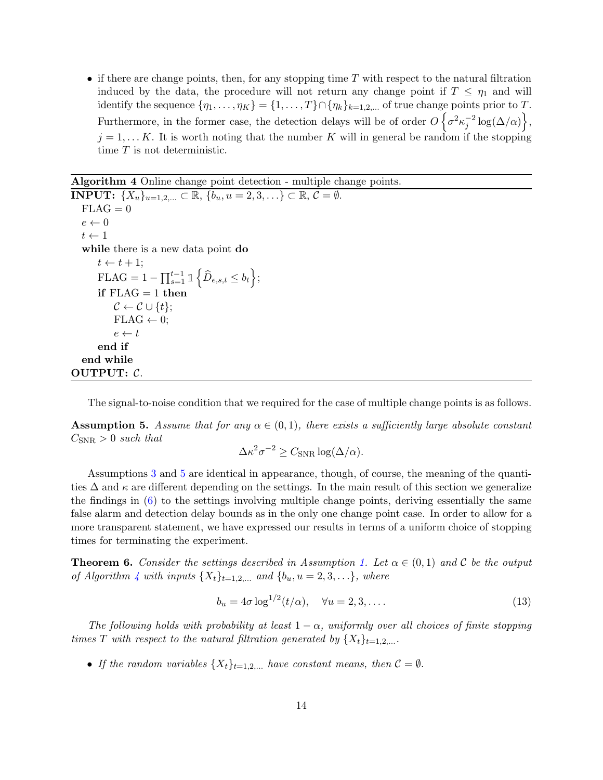• if there are change points, then, for any stopping time  $T$  with respect to the natural filtration induced by the data, the procedure will not return any change point if  $T \n\t\leq \eta_1$  and will identify the sequence  $\{\eta_1, \ldots, \eta_K\} = \{1, \ldots, T\} \cap \{\eta_k\}_{k=1,2,\ldots}$  of true change points prior to T. Furthermore, in the former case, the detection delays will be of order  $O\left\{\sigma^2\kappa_j^{-2}\log(\Delta/\alpha)\right\}$ ,  $j = 1, \ldots K$ . It is worth noting that the number K will in general be random if the stopping time T is not deterministic.

Algorithm 4 Online change point detection - multiple change points.

**INPUT:**  $\{X_u\}_{u=1,2,...} \subset \mathbb{R}, \{b_u, u=2,3,...\} \subset \mathbb{R}, \mathcal{C} = \emptyset.$  $FLAG = 0$  $e \leftarrow 0$  $t \leftarrow 1$ while there is a new data point **do**  $t \leftarrow t + 1;$  $\text{FLAG} = 1 - \prod_{s=1}^{t-1} \mathbb{1}$  $\left\{\widehat{D}_{e,s,t}\leq b_{t}\right\};$ if  $FLAG = 1$  then  $\mathcal{C} \leftarrow \mathcal{C} \cup \{t\};$  $FLAG \leftarrow 0;$  $e \leftarrow t$ end if end while OUTPUT: C.

<span id="page-13-1"></span><span id="page-13-0"></span>The signal-to-noise condition that we required for the case of multiple change points is as follows.

**Assumption 5.** Assume that for any  $\alpha \in (0,1)$ , there exists a sufficiently large absolute constant  $C_{SNR} > 0$  such that

$$
\Delta \kappa^2 \sigma^{-2} \ge C_{\text{SNR}} \log(\Delta/\alpha).
$$

Assumptions [3](#page-5-2) and [5](#page-13-1) are identical in appearance, though, of course, the meaning of the quantities  $\Delta$  and  $\kappa$  are different depending on the settings. In the main result of this section we generalize the findings in [\(6\)](#page-6-3) to the settings involving multiple change points, deriving essentially the same false alarm and detection delay bounds as in the only one change point case. In order to allow for a more transparent statement, we have expressed our results in terms of a uniform choice of stopping times for terminating the experiment.

<span id="page-13-2"></span>**Theorem 6.** Consider the settings described in Assumption [1.](#page-1-0) Let  $\alpha \in (0,1)$  and C be the output of Algorithm [4](#page-13-0) with inputs  $\{X_t\}_{t=1,2,...}$  and  $\{b_u, u = 2, 3, ...\}$ , where

$$
b_u = 4\sigma \log^{1/2}(t/\alpha), \quad \forall u = 2, 3, \dots
$$
\n<sup>(13)</sup>

The following holds with probability at least  $1 - \alpha$ , uniformly over all choices of finite stopping times T with respect to the natural filtration generated by  $\{X_t\}_{t=1,2,...}$ .

• If the random variables  $\{X_t\}_{t=1,2,...}$  have constant means, then  $\mathcal{C} = \emptyset$ .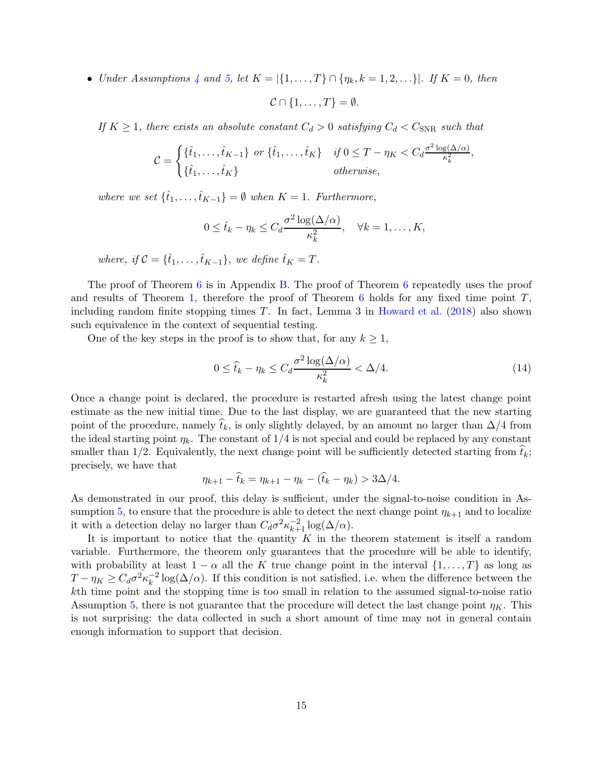• Under Assumptions [4](#page-12-2) and [5,](#page-13-1) let  $K = \{ \{1, \ldots, T\} \cap \{\eta_k, k = 1, 2, \ldots \} \}$ . If  $K = 0$ , then

$$
\mathcal{C} \cap \{1, \ldots, T\} = \emptyset.
$$

If  $K \geq 1$ , there exists an absolute constant  $C_d > 0$  satisfying  $C_d < C_{SNR}$  such that

$$
\mathcal{C} = \begin{cases} \{\hat{t}_1, \dots, \hat{t}_{K-1}\} & \text{or } \{\hat{t}_1, \dots, \hat{t}_K\} & \text{if } 0 \leq T - \eta_K < C_d \frac{\sigma^2 \log(\Delta/\alpha)}{\kappa_k^2}, \\ \{\hat{t}_1, \dots, \hat{t}_K\} & \text{otherwise,} \end{cases}
$$

where we set  $\{\hat{t}_1, \ldots, \hat{t}_{K-1}\} = \emptyset$  when  $K = 1$ . Furthermore,

$$
0 \leq \hat{t}_k - \eta_k \leq C_d \frac{\sigma^2 \log(\Delta/\alpha)}{\kappa_k^2}, \quad \forall k = 1, \dots, K,
$$

where, if  $\mathcal{C} = {\hat{t}_1, \dots, \hat{t}_{K-1}}$ , we define  $\hat{t}_K = T$ .

The proof of Theorem [6](#page-13-2) is in Appendix [B.](#page-20-0) The proof of Theorem [6](#page-13-2) repeatedly uses the proof and results of Theorem [1,](#page-6-0) therefore the proof of Theorem  $6$  holds for any fixed time point  $T$ , including random finite stopping times  $T$ . In fact, Lemma 3 in [Howard et al.](#page-30-15) [\(2018](#page-30-15)) also shown such equivalence in the context of sequential testing.

One of the key steps in the proof is to show that, for any  $k \geq 1$ ,

<span id="page-14-0"></span>
$$
0 \le \hat{t}_k - \eta_k \le C_d \frac{\sigma^2 \log(\Delta/\alpha)}{\kappa_k^2} < \Delta/4. \tag{14}
$$

Once a change point is declared, the procedure is restarted afresh using the latest change point estimate as the new initial time. Due to the last display, we are guaranteed that the new starting point of the procedure, namely  $\hat{t}_k$ , is only slightly delayed, by an amount no larger than  $\Delta/4$  from the ideal starting point  $\eta_k$ . The constant of 1/4 is not special and could be replaced by any constant smaller than  $1/2$ . Equivalently, the next change point will be sufficiently detected starting from  $t_k$ ; precisely, we have that

$$
\eta_{k+1} - \widehat{t}_k = \eta_{k+1} - \eta_k - (\widehat{t}_k - \eta_k) > 3\Delta/4.
$$

As demonstrated in our proof, this delay is sufficient, under the signal-to-noise condition in As-sumption [5,](#page-13-1) to ensure that the procedure is able to detect the next change point  $\eta_{k+1}$  and to localize it with a detection delay no larger than  $C_d \sigma^2 \kappa_{k+1}^{-2} \log(\Delta/\alpha)$ .

It is important to notice that the quantity  $K$  in the theorem statement is itself a random variable. Furthermore, the theorem only guarantees that the procedure will be able to identify, with probability at least  $1 - \alpha$  all the K true change point in the interval  $\{1, \ldots, T\}$  as long as  $T - \eta_K \geq C_d \sigma^2 \kappa_k^{-2}$  $\frac{1}{k}$ log( $\Delta/\alpha$ ). If this condition is not satisfied, i.e. when the difference between the kth time point and the stopping time is too small in relation to the assumed signal-to-noise ratio Assumption [5,](#page-13-1) there is not guarantee that the procedure will detect the last change point  $\eta_K$ . This is not surprising: the data collected in such a short amount of time may not in general contain enough information to support that decision.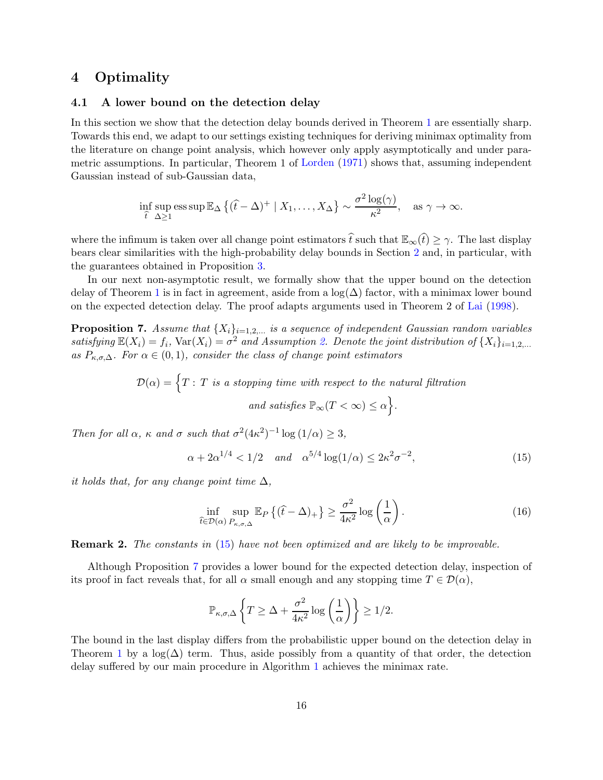### <span id="page-15-0"></span>4 Optimality

### 4.1 A lower bound on the detection delay

In this section we show that the detection delay bounds derived in Theorem [1](#page-6-0) are essentially sharp. Towards this end, we adapt to our settings existing techniques for deriving minimax optimality from the literature on change point analysis, which however only apply asymptotically and under parametric assumptions. In particular, Theorem 1 of [Lorden](#page-31-3) [\(1971](#page-31-3)) shows that, assuming independent Gaussian instead of sub-Gaussian data,

$$
\inf_{\widehat{t}} \sup_{\Delta \ge 1} \operatorname{ess} \sup \mathbb{E}_{\Delta} \left\{ (\widehat{t} - \Delta)^+ \mid X_1, \dots, X_{\Delta} \right\} \sim \frac{\sigma^2 \log(\gamma)}{\kappa^2}, \quad \text{as } \gamma \to \infty.
$$

where the infimum is taken over all change point estimators  $\hat{t}$  such that  $\mathbb{E}_{\infty}(\hat{t}) \geq \gamma$ . The last display bears clear similarities with the high-probability delay bounds in Section [2](#page-4-0) and, in particular, with the guarantees obtained in Proposition [3.](#page-8-2)

In our next non-asymptotic result, we formally show that the upper bound on the detection delay of Theorem [1](#page-6-0) is in fact in agreement, aside from a  $log(\Delta)$  factor, with a minimax lower bound on the expected detection delay. The proof adapts arguments used in Theorem 2 of [Lai](#page-31-7) [\(1998\)](#page-31-7).

<span id="page-15-1"></span>**Proposition 7.** Assume that  $\{X_i\}_{i=1,2,...}$  is a sequence of independent Gaussian random variables satisfying  $\mathbb{E}(X_i) = f_i$ ,  $\text{Var}(X_i) = \sigma^2$  and Assumption [2.](#page-1-1) Denote the joint distribution of  $\{X_i\}_{i=1,2,...}$ as  $P_{\kappa,\sigma,\Delta}$ . For  $\alpha \in (0,1)$ , consider the class of change point estimators

> $\mathcal{D}(\alpha) = \Big\{ T : \, T \, \text{ is a stopping time with respect to the natural filtration }$ and satisfies  $\mathbb{P}_{\infty}(T < \infty) \leq \alpha \Big\}$ .

Then for all  $\alpha$ ,  $\kappa$  and  $\sigma$  such that  $\sigma^2 (4\kappa^2)^{-1} \log(1/\alpha) \geq 3$ ,

<span id="page-15-2"></span>
$$
\alpha + 2\alpha^{1/4} < 1/2
$$
 and  $\alpha^{5/4} \log(1/\alpha) \le 2\kappa^2 \sigma^{-2}$ , (15)

it holds that, for any change point time  $\Delta$ ,

<span id="page-15-3"></span>
$$
\inf_{\hat{t}\in\mathcal{D}(\alpha)}\sup_{P_{\kappa,\sigma,\Delta}}\mathbb{E}_P\left\{(\hat{t}-\Delta)_+\right\}\geq\frac{\sigma^2}{4\kappa^2}\log\left(\frac{1}{\alpha}\right). \tag{16}
$$

**Remark 2.** The constants in [\(15\)](#page-15-2) have not been optimized and are likely to be improvable.

Although Proposition [7](#page-15-1) provides a lower bound for the expected detection delay, inspection of its proof in fact reveals that, for all  $\alpha$  small enough and any stopping time  $T \in \mathcal{D}(\alpha)$ ,

$$
\mathbb{P}_{\kappa,\sigma,\Delta}\left\{T\geq \Delta+\frac{\sigma^2}{4\kappa^2}\log\left(\frac{1}{\alpha}\right)\right\}\geq 1/2.
$$

The bound in the last display differs from the probabilistic upper bound on the detection delay in Theorem [1](#page-6-0) by a  $\log(\Delta)$  term. Thus, aside possibly from a quantity of that order, the detection delay suffered by our main procedure in Algorithm [1](#page-5-1) achieves the minimax rate.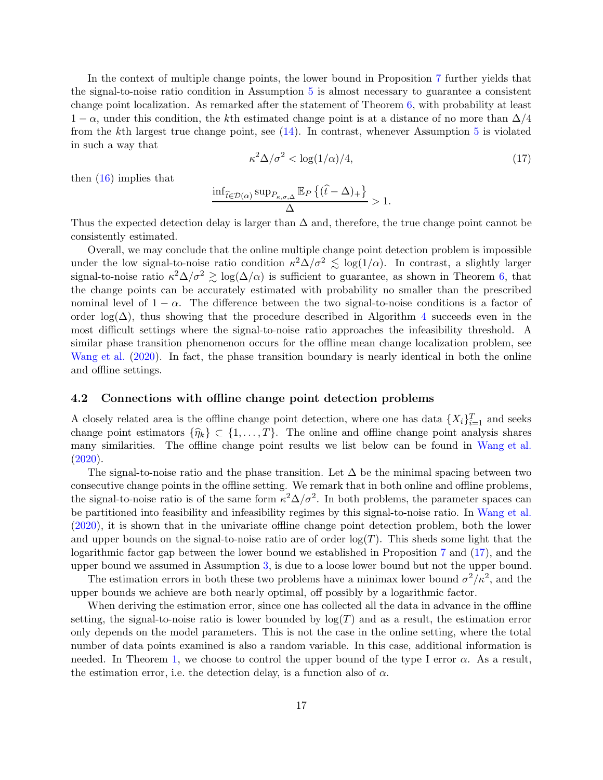In the context of multiple change points, the lower bound in Proposition [7](#page-15-1) further yields that the signal-to-noise ratio condition in Assumption [5](#page-13-1) is almost necessary to guarantee a consistent change point localization. As remarked after the statement of Theorem [6,](#page-13-2) with probability at least  $1 - \alpha$ , under this condition, the kth estimated change point is at a distance of no more than  $\Delta/4$ from the kth largest true change point, see  $(14)$ . In contrast, whenever Assumption [5](#page-13-1) is violated in such a way that

<span id="page-16-1"></span>
$$
\kappa^2 \Delta / \sigma^2 < \log(1/\alpha) / 4,\tag{17}
$$

then [\(16\)](#page-15-3) implies that

$$
\frac{\inf_{\widehat{t}\in\mathcal{D}(\alpha)}\sup_{P_{\kappa,\sigma,\Delta}}\mathbb{E}_P\left\{(\widehat{t}-\Delta)_+\right\}}{\Delta} > 1.
$$

Thus the expected detection delay is larger than  $\Delta$  and, therefore, the true change point cannot be consistently estimated.

Overall, we may conclude that the online multiple change point detection problem is impossible under the low signal-to-noise ratio condition  $\kappa^2 \Delta / \sigma^2 \lesssim \log(1/\alpha)$ . In contrast, a slightly larger signal-to-noise ratio  $\kappa^2 \Delta/\sigma^2 \gtrsim \log(\Delta/\alpha)$  is sufficient to guarantee, as shown in Theorem [6,](#page-13-2) that the change points can be accurately estimated with probability no smaller than the prescribed nominal level of  $1 - \alpha$ . The difference between the two signal-to-noise conditions is a factor of order log( $\Delta$ ), thus showing that the procedure described in Algorithm [4](#page-13-0) succeeds even in the most difficult settings where the signal-to-noise ratio approaches the infeasibility threshold. A similar phase transition phenomenon occurs for the offline mean change localization problem, see [Wang et al.](#page-31-0) [\(2020](#page-31-0)). In fact, the phase transition boundary is nearly identical in both the online and offline settings.

### <span id="page-16-0"></span>4.2 Connections with offline change point detection problems

A closely related area is the offline change point detection, where one has data  $\{X_i\}_{i=1}^T$  and seeks change point estimators  $\{\hat{\eta}_k\} \subset \{1, \ldots, T\}$ . The online and offline change point analysis shares many similarities. The offline change point results we list below can be found in [Wang et al.](#page-31-0)  $(2020).$  $(2020).$ 

The signal-to-noise ratio and the phase transition. Let  $\Delta$  be the minimal spacing between two consecutive change points in the offline setting. We remark that in both online and offline problems, the signal-to-noise ratio is of the same form  $\kappa^2 \Delta / \sigma^2$ . In both problems, the parameter spaces can be partitioned into feasibility and infeasibility regimes by this signal-to-noise ratio. In [Wang et al.](#page-31-0) [\(2020](#page-31-0)), it is shown that in the univariate offline change point detection problem, both the lower and upper bounds on the signal-to-noise ratio are of order  $log(T)$ . This sheds some light that the logarithmic factor gap between the lower bound we established in Proposition [7](#page-15-1) and [\(17\)](#page-16-1), and the upper bound we assumed in Assumption [3,](#page-5-2) is due to a loose lower bound but not the upper bound.

The estimation errors in both these two problems have a minimax lower bound  $\sigma^2/\kappa^2$ , and the upper bounds we achieve are both nearly optimal, off possibly by a logarithmic factor.

When deriving the estimation error, since one has collected all the data in advance in the offline setting, the signal-to-noise ratio is lower bounded by  $log(T)$  and as a result, the estimation error only depends on the model parameters. This is not the case in the online setting, where the total number of data points examined is also a random variable. In this case, additional information is needed. In Theorem [1,](#page-6-0) we choose to control the upper bound of the type I error  $\alpha$ . As a result, the estimation error, i.e. the detection delay, is a function also of  $\alpha$ .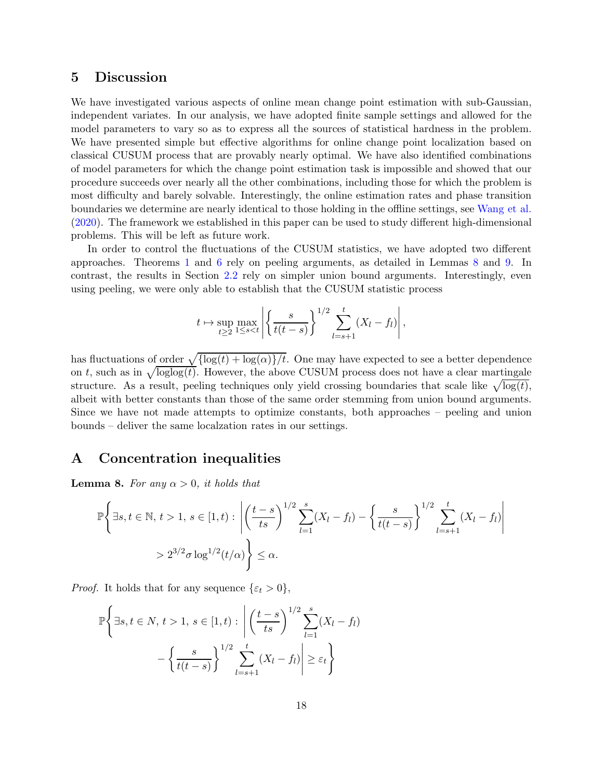### <span id="page-17-0"></span>5 Discussion

We have investigated various aspects of online mean change point estimation with sub-Gaussian, independent variates. In our analysis, we have adopted finite sample settings and allowed for the model parameters to vary so as to express all the sources of statistical hardness in the problem. We have presented simple but effective algorithms for online change point localization based on classical CUSUM process that are provably nearly optimal. We have also identified combinations of model parameters for which the change point estimation task is impossible and showed that our procedure succeeds over nearly all the other combinations, including those for which the problem is most difficulty and barely solvable. Interestingly, the online estimation rates and phase transition boundaries we determine are nearly identical to those holding in the offline settings, see [Wang et al.](#page-31-0) [\(2020](#page-31-0)). The framework we established in this paper can be used to study different high-dimensional problems. This will be left as future work.

In order to control the fluctuations of the CUSUM statistics, we have adopted two different approaches. Theorems [1](#page-6-0) and [6](#page-13-2) rely on peeling arguments, as detailed in Lemmas [8](#page-17-1) and [9.](#page-18-1) In contrast, the results in Section [2.2](#page-8-0) rely on simpler union bound arguments. Interestingly, even using peeling, we were only able to establish that the CUSUM statistic process

$$
t \mapsto \sup_{t \ge 2} \max_{1 \le s < t} \left| \left\{ \frac{s}{t(t-s)} \right\}^{1/2} \sum_{l=s+1}^t (X_l - f_l) \right|,
$$

has fluctuations of <u>order  $\sqrt{\log(t) + \log(\alpha)}/t$ </u>. One may have expected to see a better dependence on t, such as in  $\sqrt{\log \log(t)}$ . However, the above CUSUM process does not have a clear martingale structure. As a result, peeling techniques only yield crossing boundaries that scale like  $\sqrt{\log(t)}$ , albeit with better constants than those of the same order stemming from union bound arguments. Since we have not made attempts to optimize constants, both approaches – peeling and union bounds – deliver the same localzation rates in our settings.

### A Concentration inequalities

<span id="page-17-1"></span>**Lemma 8.** For any  $\alpha > 0$ , it holds that

$$
\mathbb{P}\left\{\exists s,t\in\mathbb{N},\,t>1,\,s\in[1,t): \left|\left(\frac{t-s}{ts}\right)^{1/2}\sum_{l=1}^s (X_l-f_l) - \left\{\frac{s}{t(t-s)}\right\}^{1/2}\sum_{l=s+1}^t (X_l-f_l)\right|\right\}> 2^{3/2}\sigma \log^{1/2}(t/\alpha)\right\}\leq \alpha.
$$

*Proof.* It holds that for any sequence  $\{\varepsilon_t > 0\},\$ 

$$
\mathbb{P}\left\{\exists s,t\in N,\,t>1,\,s\in[1,t): \left|\left(\frac{t-s}{ts}\right)^{1/2}\sum_{l=1}^s(X_l-f_l)\right.\right.-\left\{\frac{s}{t(t-s)}\right\}^{1/2}\sum_{l=s+1}^t(X_l-f_l)\right|\geq\varepsilon_t\right\}
$$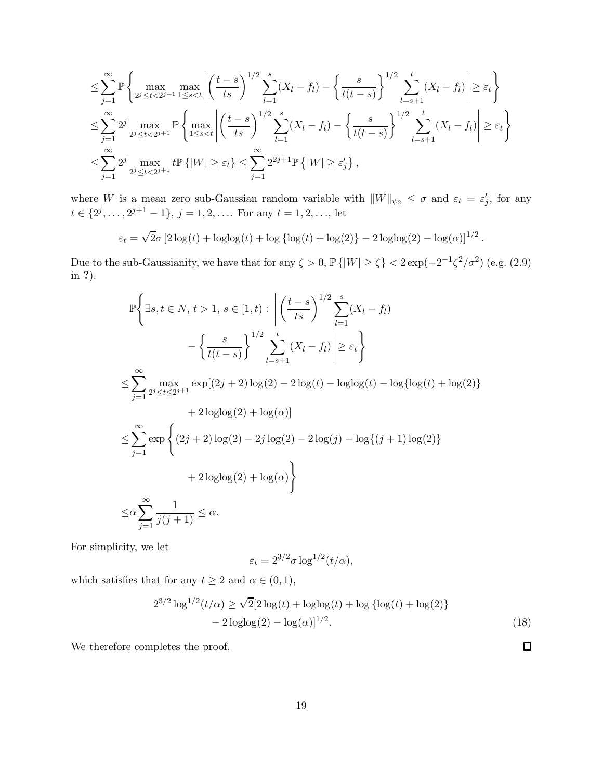$$
\leq \sum_{j=1}^{\infty} \mathbb{P} \left\{ \max_{2^{j} \leq t < 2^{j+1}} \max_{1 \leq s < t} \left| \left( \frac{t-s}{ts} \right)^{1/2} \sum_{l=1}^{s} (X_{l} - f_{l}) - \left\{ \frac{s}{t(t-s)} \right\}^{1/2} \sum_{l=s+1}^{t} (X_{l} - f_{l}) \right| \geq \varepsilon_{t} \right\}
$$
\n
$$
\leq \sum_{j=1}^{\infty} 2^{j} \max_{2^{j} \leq t < 2^{j+1}} \mathbb{P} \left\{ \max_{1 \leq s < t} \left| \left( \frac{t-s}{ts} \right)^{1/2} \sum_{l=1}^{s} (X_{l} - f_{l}) - \left\{ \frac{s}{t(t-s)} \right\}^{1/2} \sum_{l=s+1}^{t} (X_{l} - f_{l}) \right| \geq \varepsilon_{t} \right\}
$$
\n
$$
\leq \sum_{j=1}^{\infty} 2^{j} \max_{2^{j} \leq t < 2^{j+1}} t \mathbb{P} \left\{ |W| \geq \varepsilon_{t} \right\} \leq \sum_{j=1}^{\infty} 2^{2j+1} \mathbb{P} \left\{ |W| \geq \varepsilon_{j} \right\},
$$

where W is a mean zero sub-Gaussian random variable with  $||W||_{\psi_2} \leq \sigma$  and  $\varepsilon_t = \varepsilon'_j$ , for any  $t \in \{2^j, \ldots, 2^{j+1} - 1\}, \, j = 1, 2, \ldots$  For any  $t = 1, 2, \ldots$ , let

$$
\varepsilon_t = \sqrt{2}\sigma \left[2\log(t) + \log(\log(t)) + \log\left(\log(t) + \log(2)\right) - 2\log(\log(2)) - \log(\alpha)\right]^{1/2}.
$$

Due to the sub-Gaussianity, we have that for any  $\zeta > 0$ ,  $\mathbb{P}\{|W| \ge \zeta\} < 2 \exp(-2^{-1} \zeta^2/\sigma^2)$  (e.g. (2.9) in ?).

$$
\mathbb{P}\left\{\exists s, t \in N, t > 1, s \in [1, t) : \left| \left(\frac{t - s}{ts}\right)^{1/2} \sum_{l = 1}^{s} (X_l - f_l) \right| \right\} = \left\{ \frac{s}{t(t - s)} \right\}^{1/2} \sum_{l = s + 1}^{t} (X_l - f_l) \left| \ge \varepsilon_t \right\}
$$
\n
$$
\le \sum_{j = 1}^{\infty} \max_{2^j \le t \le 2^{j+1}} \exp[(2j + 2)\log(2) - 2\log(t) - \log(\log(t) - \log(\log(t) + \log(2)) + 2\log(\log(2) + \log(\alpha)) + 2\log(2) - 2j\log(2) - 2\log(j) - \log((j + 1)\log(2)) + 2\log(\log(2) + \log(\alpha)) \right\}
$$
\n
$$
\le \alpha \sum_{j = 1}^{\infty} \frac{1}{j(j + 1)} \le \alpha.
$$

For simplicity, we let

$$
\varepsilon_t = 2^{3/2} \sigma \log^{1/2}(t/\alpha),
$$

which satisfies that for any  $t \geq 2$  and  $\alpha \in (0, 1)$ ,

$$
2^{3/2} \log^{1/2}(t/\alpha) \ge \sqrt{2} [2 \log(t) + \log(\log(t) + \log(\log(t) + \log(2)) - 2 \log(\log(2)) - \log(\alpha)]^{1/2}.
$$
\n(18)

<span id="page-18-0"></span> $\Box$ 

<span id="page-18-1"></span>We therefore completes the proof.

19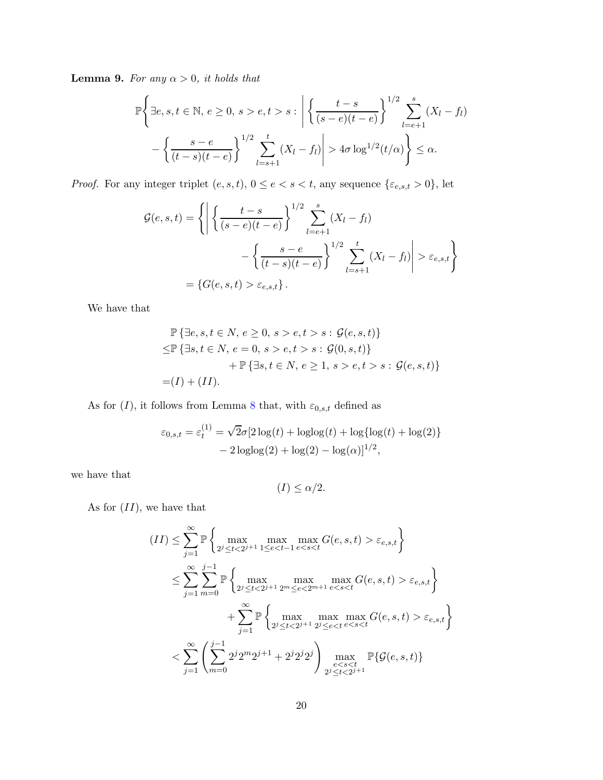**Lemma 9.** For any  $\alpha > 0$ , it holds that

$$
\mathbb{P}\left\{\exists e, s, t \in \mathbb{N}, e \ge 0, s > e, t > s : \left|\left\{\frac{t-s}{(s-e)(t-e)}\right\}^{1/2} \sum_{l=e+1}^{s} (X_l - f_l) - \left\{\frac{s-e}{(t-s)(t-e)}\right\}^{1/2} \sum_{l=s+1}^{t} (X_l - f_l)\right| > 4\sigma \log^{1/2}(t/\alpha) \right\} \le \alpha.
$$

*Proof.* For any integer triplet  $(e, s, t)$ ,  $0 \le e < s < t$ , any sequence  $\{\varepsilon_{e,s,t} > 0\}$ , let

$$
\mathcal{G}(e, s, t) = \left\{ \left| \left\{ \frac{t - s}{(s - e)(t - e)} \right\}^{1/2} \sum_{l = e + 1}^{s} (X_l - f_l) - \left\{ \frac{s - e}{(t - s)(t - e)} \right\}^{1/2} \sum_{l = s + 1}^{t} (X_l - f_l) \right| > \varepsilon_{e, s, t} \right\}
$$

$$
= \left\{ G(e, s, t) > \varepsilon_{e, s, t} \right\}.
$$

We have that

$$
\mathbb{P} \{ \exists e, s, t \in N, e \ge 0, s > e, t > s : \mathcal{G}(e, s, t) \}
$$
  
\n
$$
\le \mathbb{P} \{ \exists s, t \in N, e = 0, s > e, t > s : \mathcal{G}(0, s, t) \}
$$
  
\n
$$
+ \mathbb{P} \{ \exists s, t \in N, e \ge 1, s > e, t > s : \mathcal{G}(e, s, t) \}
$$
  
\n
$$
= (I) + (II).
$$

As for  $(I),$  it follows from Lemma [8](#page-17-1) that, with  $\varepsilon_{0,s,t}$  defined as

$$
\varepsilon_{0,s,t} = \varepsilon_t^{(1)} = \sqrt{2}\sigma[2\log(t) + \log(\log(t) + \log(\log(t) + \log(2)) - 2\log(\log(2)) - \log(\alpha)]^{1/2},
$$

we have that

$$
(I) \le \alpha/2.
$$

As for  $(II)$ , we have that

$$
(II) \leq \sum_{j=1}^{\infty} \mathbb{P} \left\{ \max_{2^{j} \leq t < 2^{j+1}} \max_{1 \leq e < t-1} \max_{e < s < t} G(e, s, t) > \varepsilon_{e, s, t} \right\}
$$
\n
$$
\leq \sum_{j=1}^{\infty} \sum_{m=0}^{j-1} \mathbb{P} \left\{ \max_{2^{j} \leq t < 2^{j+1}} \max_{2^{m} \leq e < 2^{m+1}} \max_{e < s < t} G(e, s, t) > \varepsilon_{e, s, t} \right\}
$$
\n
$$
+ \sum_{j=1}^{\infty} \mathbb{P} \left\{ \max_{2^{j} \leq t < 2^{j+1}} \max_{2^{j} \leq e < t} \max_{e < s < t} G(e, s, t) > \varepsilon_{e, s, t} \right\}
$$
\n
$$
< \sum_{j=1}^{\infty} \left( \sum_{m=0}^{j-1} 2^{j} 2^{m} 2^{j+1} + 2^{j} 2^{j} 2^{j} \right) \max_{\substack{e < s < t \\ 2^{j} \leq t < 2^{j+1}}} \mathbb{P} \{ \mathcal{G}(e, s, t) \}
$$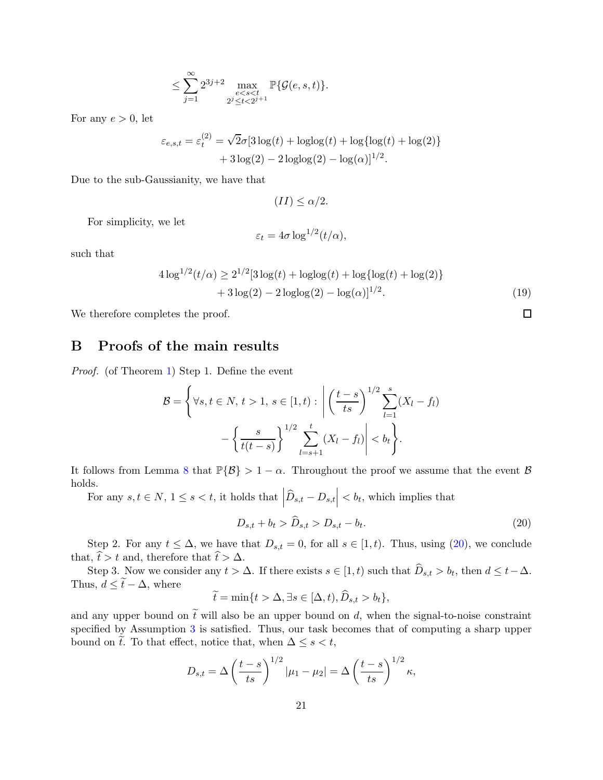$$
\leq \sum_{j=1}^\infty 2^{3j+2} \max_{\substack{e
$$

For any  $e > 0$ , let

$$
\varepsilon_{e,s,t} = \varepsilon_t^{(2)} = \sqrt{2}\sigma[3\log(t) + \log(\log(t) + \log(\log(t) + \log(2)) + 3\log(2) - 2\log(\log(2)) - \log(\alpha)]^{1/2}.
$$

Due to the sub-Gaussianity, we have that

$$
(II) \le \alpha/2.
$$

For simplicity, we let

$$
\varepsilon_t = 4\sigma \log^{1/2}(t/\alpha),
$$

such that

$$
4\log^{1/2}(t/\alpha) \ge 2^{1/2}[3\log(t) + \log(\log(t) + \log(\log(t) + \log(2)) + 3\log(2) - 2\log(\log(2)) - \log(\alpha)]^{1/2}.
$$
\n(19)

We therefore completes the proof.

## <span id="page-20-0"></span>B Proofs of the main results

Proof. (of Theorem [1\)](#page-6-0) Step 1. Define the event

$$
\mathcal{B} = \left\{ \forall s, t \in N, t > 1, s \in [1, t) : \left| \left( \frac{t - s}{ts} \right)^{1/2} \sum_{l = 1}^{s} (X_l - f_l) - \left\{ \frac{s}{t(t - s)} \right\}^{1/2} \sum_{l = s + 1}^{t} (X_l - f_l) \right| < b_t \right\}.
$$

It follows from Lemma [8](#page-17-1) that  $\mathbb{P}{B} > 1 - \alpha$ . Throughout the proof we assume that the event  $\beta$ holds.

For any  $s, t \in N$ ,  $1 \leq s < t$ , it holds that  $\left| \widehat{D}_{s,t} - D_{s,t} \right| < b_t$ , which implies that

<span id="page-20-1"></span>
$$
D_{s,t} + b_t > \widehat{D}_{s,t} > D_{s,t} - b_t.
$$
\n
$$
(20)
$$

 $\Box$ 

Step 2. For any  $t \leq \Delta$ , we have that  $D_{s,t} = 0$ , for all  $s \in [1, t)$ . Thus, using [\(20\)](#page-20-1), we conclude that,  $\hat{t} > t$  and, therefore that  $\hat{t} > \Delta$ .

Step 3. Now we consider any  $t > \Delta$ . If there exists  $s \in [1, t)$  such that  $D_{s,t} > b_t$ , then  $d \leq t - \Delta$ . Thus,  $d \leq \tilde{t} - \Delta$ , where

$$
\widetilde{t} = \min\{t > \Delta, \exists s \in [\Delta, t), \widetilde{D}_{s,t} > b_t\},\
$$

and any upper bound on  $\tilde{t}$  will also be an upper bound on d, when the signal-to-noise constraint specified by Assumption [3](#page-5-2) is satisfied. Thus, our task becomes that of computing a sharp upper bound on  $\tilde{t}$ . To that effect, notice that, when  $\Delta \leq s < t$ ,

$$
D_{s,t} = \Delta \left(\frac{t-s}{ts}\right)^{1/2} |\mu_1 - \mu_2| = \Delta \left(\frac{t-s}{ts}\right)^{1/2} \kappa,
$$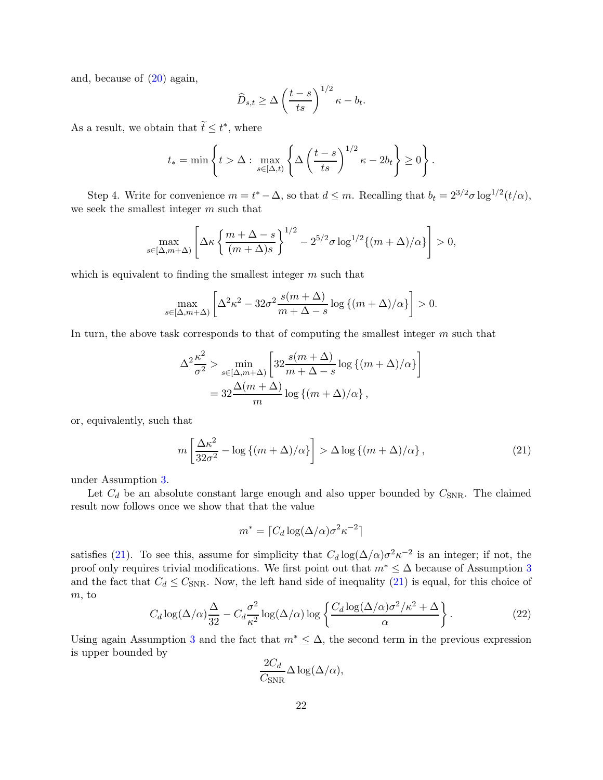and, because of [\(20\)](#page-20-1) again,

$$
\widehat{D}_{s,t} \ge \Delta \left(\frac{t-s}{ts}\right)^{1/2} \kappa - b_t.
$$

As a result, we obtain that  $\widetilde{t} \leq t^*$ , where

$$
t_* = \min \left\{ t > \Delta : \max_{s \in [\Delta, t)} \left\{ \Delta \left( \frac{t - s}{ts} \right)^{1/2} \kappa - 2b_t \right\} \ge 0 \right\}.
$$

Step 4. Write for convenience  $m = t^* - \Delta$ , so that  $d \leq m$ . Recalling that  $b_t = 2^{3/2} \sigma \log^{1/2}(t/\alpha)$ , we seek the smallest integer m such that

$$
\max_{s \in [\Delta, m + \Delta)} \left[ \Delta \kappa \left\{ \frac{m + \Delta - s}{(m + \Delta)s} \right\}^{1/2} - 2^{5/2} \sigma \log^{1/2} \{ (m + \Delta)/\alpha \} \right] > 0,
$$

which is equivalent to finding the smallest integer  $m$  such that

$$
\max_{s \in [\Delta, m + \Delta)} \left[ \Delta^2 \kappa^2 - 32\sigma^2 \frac{s(m + \Delta)}{m + \Delta - s} \log \left\{ (m + \Delta) / \alpha \right\} \right] > 0.
$$

In turn, the above task corresponds to that of computing the smallest integer m such that

$$
\Delta^2 \frac{\kappa^2}{\sigma^2} > \min_{s \in [\Delta, m + \Delta)} \left[ 32 \frac{s(m + \Delta)}{m + \Delta - s} \log \left\{ (m + \Delta) / \alpha \right\} \right]
$$
  
= 
$$
32 \frac{\Delta(m + \Delta)}{m} \log \left\{ (m + \Delta) / \alpha \right\},
$$

or, equivalently, such that

<span id="page-21-0"></span>
$$
m\left[\frac{\Delta\kappa^2}{32\sigma^2} - \log\left\{(m+\Delta)/\alpha\right\}\right] > \Delta\log\left\{(m+\Delta)/\alpha\right\},\tag{21}
$$

under Assumption [3.](#page-5-2)

Let  $C_d$  be an absolute constant large enough and also upper bounded by  $C_{SNR}$ . The claimed result now follows once we show that that the value

$$
m^* = \lceil C_d \log(\Delta/\alpha) \sigma^2 \kappa^{-2} \rceil
$$

satisfies [\(21\)](#page-21-0). To see this, assume for simplicity that  $C_d \log(\Delta/\alpha) \sigma^2 \kappa^{-2}$  is an integer; if not, the proof only requires trivial modifications. We first point out that  $m^* \leq \Delta$  because of Assumption [3](#page-5-2) and the fact that  $C_d \leq C_{SNR}$ . Now, the left hand side of inequality [\(21\)](#page-21-0) is equal, for this choice of m, to

<span id="page-21-1"></span>
$$
C_d \log(\Delta/\alpha) \frac{\Delta}{32} - C_d \frac{\sigma^2}{\kappa^2} \log(\Delta/\alpha) \log \left\{ \frac{C_d \log(\Delta/\alpha) \sigma^2/\kappa^2 + \Delta}{\alpha} \right\}.
$$
 (22)

Using again Assumption [3](#page-5-2) and the fact that  $m^* \leq \Delta$ , the second term in the previous expression is upper bounded by

$$
\frac{2C_d}{C_{\text{SNR}}}\Delta \log(\Delta/\alpha),
$$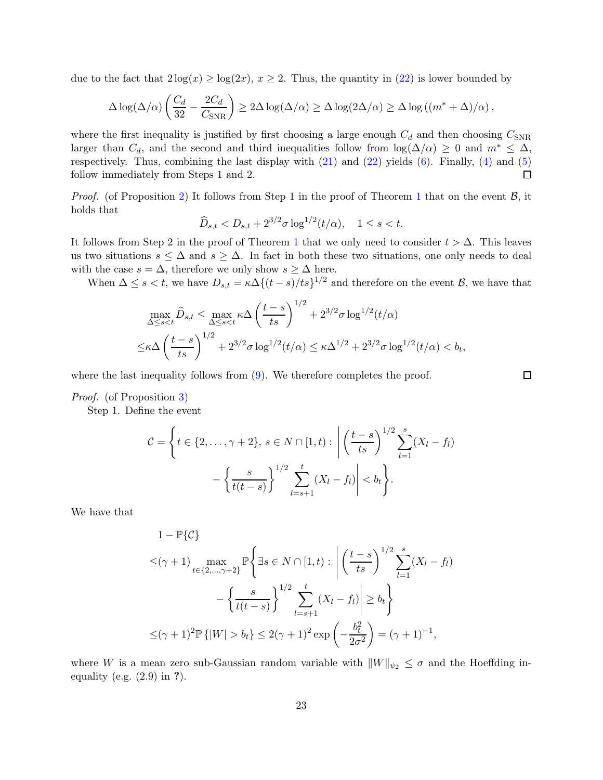due to the fact that  $2\log(x) \ge \log(2x)$ ,  $x \ge 2$ . Thus, the quantity in [\(22\)](#page-21-1) is lower bounded by

$$
\Delta \log(\Delta/\alpha) \left( \frac{C_d}{32} - \frac{2C_d}{C_{\rm SNR}} \right) \geq 2\Delta \log(\Delta/\alpha) \geq \Delta \log(2\Delta/\alpha) \geq \Delta \log((m^* + \Delta)/\alpha),
$$

where the first inequality is justified by first choosing a large enough  $C_d$  and then choosing  $C_{SNR}$ larger than  $C_d$ , and the second and third inequalities follow from  $\log(\Delta/\alpha) \geq 0$  and  $m^* \leq \Delta$ , respectively. Thus, combining the last display with [\(21\)](#page-21-0) and [\(22\)](#page-21-1) yields [\(6\)](#page-6-3). Finally, [\(4\)](#page-6-1) and [\(5\)](#page-6-2) follow immediately from Steps 1 and 2.  $\Box$ 

*Proof.* (of Proposition [2\)](#page-8-3) It follows from Step [1](#page-6-0) in the proof of Theorem 1 that on the event  $\mathcal{B}$ , it holds that

$$
\widehat{D}_{s,t} < D_{s,t} + 2^{3/2} \sigma \log^{1/2}(t/\alpha), \quad 1 \le s < t.
$$

It follows from Step 2 in the proof of Theorem [1](#page-6-0) that we only need to consider  $t > \Delta$ . This leaves us two situations  $s \leq \Delta$  and  $s \geq \Delta$ . In fact in both these two situations, one only needs to deal with the case  $s = \Delta$ , therefore we only show  $s \geq \Delta$  here.

When  $\Delta \leq s < t$ , we have  $D_{s,t} = \kappa \Delta \{ (t-s)/ts \}^{1/2}$  and therefore on the event  $\mathcal{B}$ , we have that

$$
\max_{\Delta \le s < t} \hat{D}_{s,t} \le \max_{\Delta \le s < t} \kappa \Delta \left(\frac{t-s}{ts}\right)^{1/2} + 2^{3/2} \sigma \log^{1/2}(t/\alpha)
$$
  

$$
\le \kappa \Delta \left(\frac{t-s}{ts}\right)^{1/2} + 2^{3/2} \sigma \log^{1/2}(t/\alpha) \le \kappa \Delta^{1/2} + 2^{3/2} \sigma \log^{1/2}(t/\alpha) < b_t,
$$

where the last inequality follows from  $(9)$ . We therefore completes the proof.

 $\Box$ 

#### Proof. (of Proposition [3\)](#page-8-2)

Step 1. Define the event

$$
\mathcal{C} = \left\{ t \in \{2, ..., \gamma + 2\}, s \in N \cap [1, t) : \left| \left( \frac{t - s}{ts} \right)^{1/2} \sum_{l = 1}^{s} (X_l - f_l) - \left\{ \frac{s}{t(t - s)} \right\}^{1/2} \sum_{l = s + 1}^{t} (X_l - f_l) \right| < b_t \right\}.
$$

We have that

$$
1 - \mathbb{P}\{\mathcal{C}\}\
$$
  
\n
$$
\leq (\gamma + 1) \max_{t \in \{2, \dots, \gamma + 2\}} \mathbb{P}\left\{\exists s \in N \cap [1, t) : \left|\left(\frac{t - s}{ts}\right)^{1/2} \sum_{l = 1}^{s} (X_l - f_l) - \left\{\frac{s}{t(t - s)}\right\}^{1/2} \sum_{l = s + 1}^{t} (X_l - f_l)\right| \geq b_t\right\}
$$
  
\n
$$
\leq (\gamma + 1)^2 \mathbb{P}\left\{|W| > b_t\right\} \leq 2(\gamma + 1)^2 \exp\left(-\frac{b_t^2}{2\sigma^2}\right) = (\gamma + 1)^{-1},
$$

where W is a mean zero sub-Gaussian random variable with  $||W||_{\psi_2} \leq \sigma$  and the Hoeffding inequality (e.g.  $(2.9)$  in ?).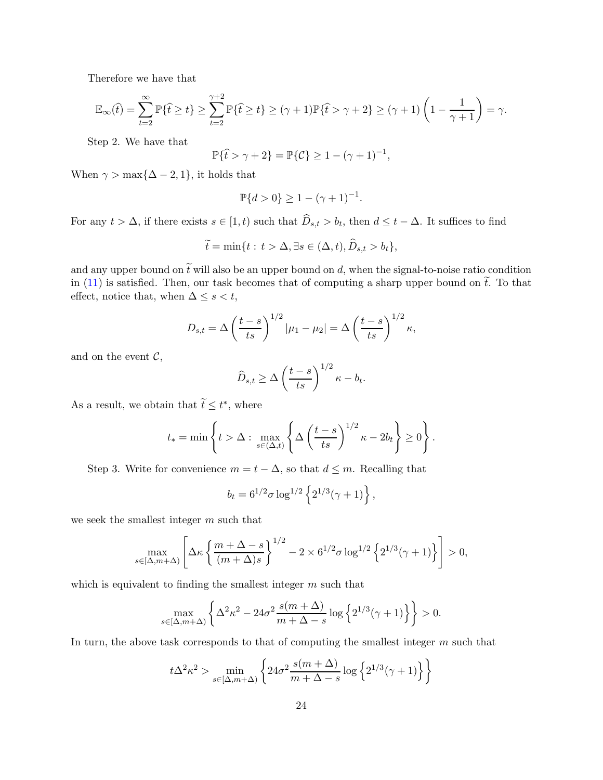Therefore we have that

$$
\mathbb{E}_{\infty}(\hat{t}) = \sum_{t=2}^{\infty} \mathbb{P}\{\hat{t} \ge t\} \ge \sum_{t=2}^{\gamma+2} \mathbb{P}\{\hat{t} \ge t\} \ge (\gamma+1) \mathbb{P}\{\hat{t} > \gamma+2\} \ge (\gamma+1) \left(1 - \frac{1}{\gamma+1}\right) = \gamma.
$$

Step 2. We have that

$$
\mathbb{P}\{\hat{t} > \gamma + 2\} = \mathbb{P}\{\mathcal{C}\} \ge 1 - (\gamma + 1)^{-1},
$$

When  $\gamma > \max\{\Delta - 2, 1\}$ , it holds that

$$
\mathbb{P}\{d>0\} \ge 1 - (\gamma + 1)^{-1}.
$$

For any  $t > \Delta$ , if there exists  $s \in [1, t)$  such that  $D_{s,t} > b_t$ , then  $d \leq t - \Delta$ . It suffices to find

$$
\widetilde{t} = \min\{t : t > \Delta, \exists s \in (\Delta, t), \widehat{D}_{s,t} > b_t\},\
$$

and any upper bound on  $\tilde{t}$  will also be an upper bound on d, when the signal-to-noise ratio condition in [\(11\)](#page-9-0) is satisfied. Then, our task becomes that of computing a sharp upper bound on  $\tilde{t}$ . To that effect, notice that, when  $\Delta \leq s < t$ ,

$$
D_{s,t} = \Delta \left(\frac{t-s}{ts}\right)^{1/2} |\mu_1 - \mu_2| = \Delta \left(\frac{t-s}{ts}\right)^{1/2} \kappa,
$$

and on the event  $C$ ,

$$
\widehat{D}_{s,t} \ge \Delta \left(\frac{t-s}{ts}\right)^{1/2} \kappa - b_t.
$$

As a result, we obtain that  $\widetilde{t} \leq t^*$ , where

$$
t_* = \min \left\{ t > \Delta : \max_{s \in (\Delta, t)} \left\{ \Delta \left( \frac{t - s}{ts} \right)^{1/2} \kappa - 2b_t \right\} \ge 0 \right\}.
$$

Step 3. Write for convenience  $m = t - \Delta$ , so that  $d \leq m$ . Recalling that

$$
b_t = 6^{1/2} \sigma \log^{1/2} \left\{ 2^{1/3} (\gamma + 1) \right\},\,
$$

we seek the smallest integer m such that

$$
\max_{s\in[\Delta,m+\Delta)}\left[\Delta\kappa\left\{\frac{m+\Delta-s}{(m+\Delta)s}\right\}^{1/2}-2\times6^{1/2}\sigma\log^{1/2}\left\{2^{1/3}(\gamma+1)\right\}\right]>0,
$$

which is equivalent to finding the smallest integer  $m$  such that

$$
\max_{s \in [\Delta, m+\Delta)} \left\{ \Delta^2 \kappa^2 - 24\sigma^2 \frac{s(m+\Delta)}{m+\Delta-s} \log \left\{ 2^{1/3}(\gamma+1) \right\} \right\} > 0.
$$

In turn, the above task corresponds to that of computing the smallest integer m such that

$$
t\Delta^2 \kappa^2 > \min_{s \in [\Delta, m+\Delta)} \left\{ 24\sigma^2 \frac{s(m+\Delta)}{m+\Delta-s} \log \left\{ 2^{1/3}(\gamma+1) \right\} \right\}
$$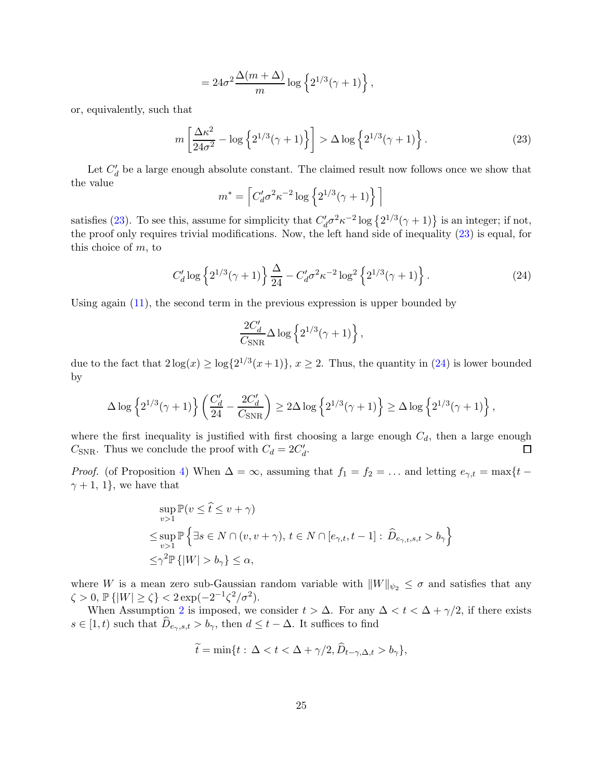$$
= 24\sigma^2 \frac{\Delta(m+\Delta)}{m} \log \left\{ 2^{1/3}(\gamma+1) \right\},\,
$$

or, equivalently, such that

<span id="page-24-0"></span>
$$
m\left[\frac{\Delta\kappa^2}{24\sigma^2} - \log\left\{2^{1/3}(\gamma+1)\right\}\right] > \Delta\log\left\{2^{1/3}(\gamma+1)\right\}.
$$
 (23)

Let  $C_d'$  be a large enough absolute constant. The claimed result now follows once we show that the value

$$
m^* = \left[ C_d' \sigma^2 \kappa^{-2} \log \left\{ 2^{1/3} (\gamma + 1) \right\} \right]
$$

satisfies [\(23\)](#page-24-0). To see this, assume for simplicity that  $C_d^{\prime}\sigma^2\kappa^{-2}\log\left\{2^{1/3}(\gamma+1)\right\}$  is an integer; if not, the proof only requires trivial modifications. Now, the left hand side of inequality [\(23\)](#page-24-0) is equal, for this choice of m, to

<span id="page-24-1"></span>
$$
C'_d \log \left\{ 2^{1/3}(\gamma + 1) \right\} \frac{\Delta}{24} - C'_d \sigma^2 \kappa^{-2} \log^2 \left\{ 2^{1/3}(\gamma + 1) \right\}.
$$
 (24)

Using again [\(11\)](#page-9-0), the second term in the previous expression is upper bounded by

$$
\frac{2C_d'}{C_{\rm SNR}} \Delta \log \left\{ 2^{1/3}(\gamma+1) \right\},
$$

due to the fact that  $2\log(x) \ge \log\{2^{1/3}(x+1)\}, x \ge 2$ . Thus, the quantity in [\(24\)](#page-24-1) is lower bounded by

$$
\Delta \log \left\{2^{1/3}(\gamma+1)\right\} \left(\frac{C_d'}{24}-\frac{2C_d'}{C_{\rm SNR}}\right)\geq 2\Delta \log \left\{2^{1/3}(\gamma+1)\right\}\geq \Delta \log \left\{2^{1/3}(\gamma+1)\right\},
$$

where the first inequality is justified with first choosing a large enough  $C_d$ , then a large enough  $C_{\text{SNR}}$ . Thus we conclude the proof with  $C_d = 2C'_d$ . □

*Proof.* (of Proposition [4\)](#page-10-2) When  $\Delta = \infty$ , assuming that  $f_1 = f_2 = \ldots$  and letting  $e_{\gamma,t} = \max\{t \gamma + 1$ , 1}, we have that

$$
\sup_{v>1} \mathbb{P}(v \le \hat{t} \le v + \gamma)
$$
  

$$
\le \sup_{v>1} \mathbb{P} \left\{ \exists s \in N \cap (v, v + \gamma), t \in N \cap [e_{\gamma,t}, t-1] : \hat{D}_{e_{\gamma,t},s,t} > b_{\gamma} \right\}
$$
  

$$
\le \gamma^2 \mathbb{P} \left\{ |W| > b_{\gamma} \right\} \le \alpha,
$$

where W is a mean zero sub-Gaussian random variable with  $||W||_{\psi_2} \leq \sigma$  and satisfies that any  $\zeta > 0, \, \mathbb{P}\{|W| \ge \zeta\} < 2\exp(-2^{-1}\zeta^2/\sigma^2).$ 

When Assumption [2](#page-1-1) is imposed, we consider  $t > \Delta$ . For any  $\Delta < t < \Delta + \gamma/2$ , if there exists  $s \in [1, t)$  such that  $\widehat{D}_{e_{\gamma}, s, t} > b_{\gamma}$ , then  $d \leq t - \Delta$ . It suffices to find

$$
\widetilde{t} = \min\{t : \Delta < t < \Delta + \gamma/2, \widehat{D}_{t-\gamma,\Delta,t} > b_\gamma\},\
$$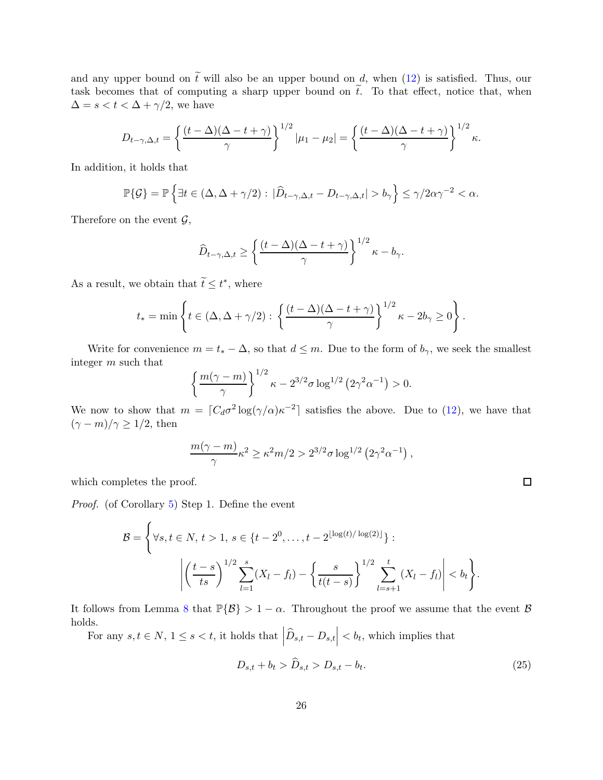and any upper bound on  $\tilde{t}$  will also be an upper bound on d, when [\(12\)](#page-10-3) is satisfied. Thus, our task becomes that of computing a sharp upper bound on  $\tilde{t}$ . To that effect, notice that, when  $\Delta = s < t < \Delta + \gamma/2$ , we have

$$
D_{t-\gamma,\Delta,t} = \left\{ \frac{(t-\Delta)(\Delta-t+\gamma)}{\gamma} \right\}^{1/2} |\mu_1 - \mu_2| = \left\{ \frac{(t-\Delta)(\Delta-t+\gamma)}{\gamma} \right\}^{1/2} \kappa.
$$

In addition, it holds that

$$
\mathbb{P}\{\mathcal{G}\} = \mathbb{P}\left\{\exists t \in (\Delta, \Delta + \gamma/2) : |\widehat{D}_{t-\gamma, \Delta, t} - D_{t-\gamma, \Delta, t}| > b_{\gamma}\right\} \le \gamma/2\alpha\gamma^{-2} < \alpha.
$$

Therefore on the event  $\mathcal{G},$ 

$$
\widehat{D}_{t-\gamma,\Delta,t} \ge \left\{ \frac{(t-\Delta)(\Delta-t+\gamma)}{\gamma} \right\}^{1/2} \kappa - b_{\gamma}.
$$

As a result, we obtain that  $\widetilde{t} \leq t^*$ , where

$$
t_* = \min \left\{ t \in (\Delta, \Delta + \gamma/2) : \left\{ \frac{(t - \Delta)(\Delta - t + \gamma)}{\gamma} \right\}^{1/2} \kappa - 2b_\gamma \ge 0 \right\}.
$$

Write for convenience  $m = t_* - \Delta$ , so that  $d \leq m$ . Due to the form of  $b_{\gamma}$ , we seek the smallest integer m such that

$$
\left\{\frac{m(\gamma-m)}{\gamma}\right\}^{1/2} \kappa - 2^{3/2} \sigma \log^{1/2} (2\gamma^2 \alpha^{-1}) > 0.
$$

We now to show that  $m = [C_d \sigma^2 \log(\gamma/\alpha) \kappa^{-2}]$  satisfies the above. Due to [\(12\)](#page-10-3), we have that  $(\gamma - m)/\gamma \geq 1/2$ , then

$$
\frac{m(\gamma-m)}{\gamma} \kappa^2 \geq \kappa^2 m/2 > 2^{3/2} \sigma \log^{1/2} \left( 2 \gamma^2 \alpha^{-1} \right),
$$

which completes the proof.

Proof. (of Corollary [5\)](#page-11-0) Step 1. Define the event

$$
\mathcal{B} = \left\{ \forall s, t \in N, t > 1, s \in \{t - 2^0, \dots, t - 2^{\lfloor \log(t) / \log(2) \rfloor} \} : \left| \left( \frac{t - s}{ts} \right)^{1/2} \sum_{l = 1}^s (X_l - f_l) - \left\{ \frac{s}{t(t - s)} \right\}^{1/2} \sum_{l = s + 1}^t (X_l - f_l) \right| < b_t \right\}.
$$

It follows from Lemma [8](#page-17-1) that  $\mathbb{P}{B} > 1 - \alpha$ . Throughout the proof we assume that the event  $\beta$ holds.

For any  $s, t \in N$ ,  $1 \leq s < t$ , it holds that  $\left| \widehat{D}_{s,t} - D_{s,t} \right| < b_t$ , which implies that

<span id="page-25-0"></span>
$$
D_{s,t} + b_t > \widehat{D}_{s,t} > D_{s,t} - b_t.
$$
\n
$$
(25)
$$

 $\Box$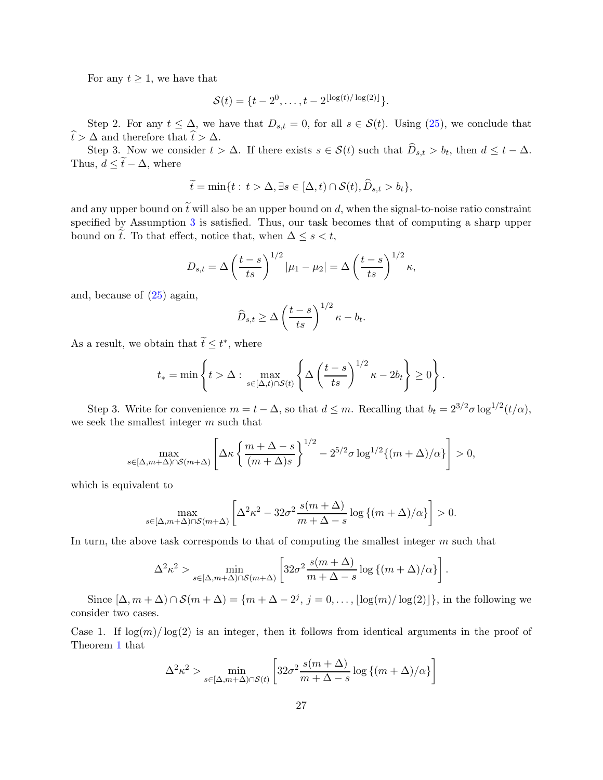For any  $t \geq 1$ , we have that

$$
S(t) = \{t - 2^0, \dots, t - 2^{\lfloor \log(t) / \log(2) \rfloor} \}.
$$

Step 2. For any  $t \leq \Delta$ , we have that  $D_{s,t} = 0$ , for all  $s \in \mathcal{S}(t)$ . Using [\(25\)](#page-25-0), we conclude that  $\widehat{t} > \Delta$  and therefore that  $\widehat{t} > \Delta$ .

Step 3. Now we consider  $t > \Delta$ . If there exists  $s \in \mathcal{S}(t)$  such that  $D_{s,t} > b_t$ , then  $d \leq t - \Delta$ . Thus,  $d \leq \tilde{t} - \Delta$ , where

$$
\widetilde{t} = \min\{t : t > \Delta, \exists s \in [\Delta, t) \cap \mathcal{S}(t), \widehat{D}_{s,t} > b_t\},\
$$

and any upper bound on  $\tilde{t}$  will also be an upper bound on d, when the signal-to-noise ratio constraint specified by Assumption [3](#page-5-2) is satisfied. Thus, our task becomes that of computing a sharp upper bound on  $\tilde{t}$ . To that effect, notice that, when  $\Delta \leq s < t$ ,

$$
D_{s,t} = \Delta \left(\frac{t-s}{ts}\right)^{1/2} |\mu_1 - \mu_2| = \Delta \left(\frac{t-s}{ts}\right)^{1/2} \kappa,
$$

and, because of [\(25\)](#page-25-0) again,

$$
\widehat{D}_{s,t} \ge \Delta \left(\frac{t-s}{ts}\right)^{1/2} \kappa - b_t.
$$

As a result, we obtain that  $\widetilde{t} \leq t^*$ , where

$$
t_* = \min \left\{ t > \Delta : \max_{s \in [\Delta, t) \cap S(t)} \left\{ \Delta \left( \frac{t-s}{ts} \right)^{1/2} \kappa - 2b_t \right\} \ge 0 \right\}.
$$

Step 3. Write for convenience  $m = t - \Delta$ , so that  $d \leq m$ . Recalling that  $b_t = 2^{3/2} \sigma \log^{1/2}(t/\alpha)$ , we seek the smallest integer m such that

$$
\max_{s \in [\Delta, m+\Delta) \cap \mathcal{S}(m+\Delta)} \left[ \Delta \kappa \left\{ \frac{m+\Delta-s}{(m+\Delta)s} \right\}^{1/2} - 2^{5/2} \sigma \log^{1/2} \{ (m+\Delta)/\alpha \} \right] > 0,
$$

which is equivalent to

$$
\max_{s \in [\Delta, m+\Delta) \cap \mathcal{S}(m+\Delta)} \left[ \Delta^2 \kappa^2 - 32\sigma^2 \frac{s(m+\Delta)}{m+\Delta-s} \log \left\{ (m+\Delta)/\alpha \right\} \right] > 0.
$$

In turn, the above task corresponds to that of computing the smallest integer m such that

$$
\Delta^2 \kappa^2 > \min_{s \in [\Delta, m + \Delta) \cap \mathcal{S}(m + \Delta)} \left[ 32\sigma^2 \frac{s(m + \Delta)}{m + \Delta - s} \log \left\{ (m + \Delta) / \alpha \right\} \right]
$$

.

Since  $[\Delta, m + \Delta) \cap \mathcal{S}(m + \Delta) = \{m + \Delta - 2^j, j = 0, \dots, \lfloor \log(m) / \log(2) \rfloor\}$ , in the following we consider two cases.

Case 1. If  $\log(m)/\log(2)$  is an integer, then it follows from identical arguments in the proof of Theorem [1](#page-6-0) that

$$
\Delta^2 \kappa^2 > \min_{s \in [\Delta, m + \Delta) \cap \mathcal{S}(t)} \left[ 32\sigma^2 \frac{s(m + \Delta)}{m + \Delta - s} \log \left\{ (m + \Delta) / \alpha \right\} \right]
$$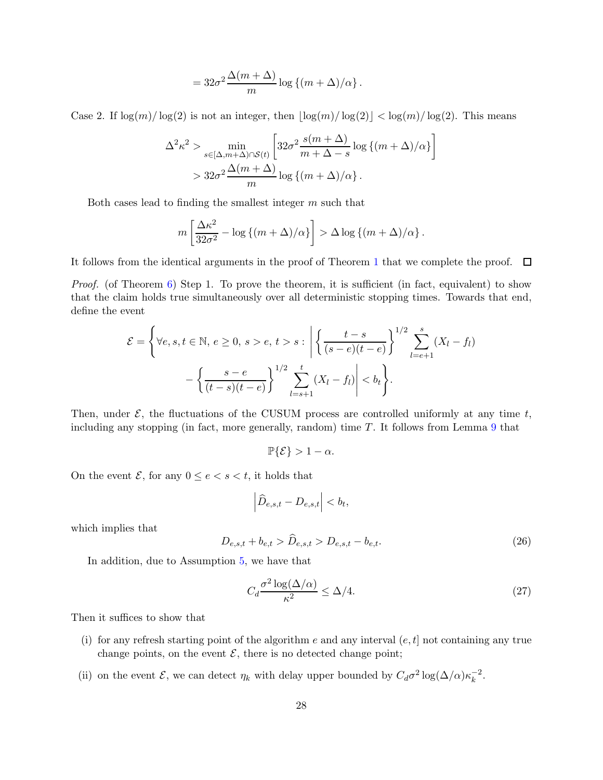$$
=32\sigma^2\frac{\Delta(m+\Delta)}{m}\log{(m+\Delta)/\alpha}.
$$

Case 2. If  $\log(m)/\log(2)$  is not an integer, then  $|\log(m)/\log(2)| < \log(m)/\log(2)$ . This means

$$
\Delta^2 \kappa^2 > \min_{s \in [\Delta, m + \Delta) \cap \mathcal{S}(t)} \left[ 32\sigma^2 \frac{s(m + \Delta)}{m + \Delta - s} \log \left\{ (m + \Delta) / \alpha \right\} \right]
$$
  
> 
$$
32\sigma^2 \frac{\Delta(m + \Delta)}{m} \log \left\{ (m + \Delta) / \alpha \right\}.
$$

Both cases lead to finding the smallest integer m such that

$$
m\left[\frac{\Delta\kappa^2}{32\sigma^2} - \log\left\{(m+\Delta)/\alpha\right\}\right] > \Delta\log\left\{(m+\Delta)/\alpha\right\}.
$$

It follows from the identical arguments in the proof of Theorem [1](#page-6-0) that we complete the proof.  $\Box$ 

*Proof.* (of Theorem [6\)](#page-13-2) Step 1. To prove the theorem, it is sufficient (in fact, equivalent) to show that the claim holds true simultaneously over all deterministic stopping times. Towards that end, define the event

$$
\mathcal{E} = \left\{ \forall e, s, t \in \mathbb{N}, e \ge 0, s > e, t > s : \left| \left\{ \frac{t - s}{(s - e)(t - e)} \right\}^{1/2} \sum_{l = e + 1}^{s} (X_l - f_l) - \left\{ \frac{s - e}{(t - s)(t - e)} \right\}^{1/2} \sum_{l = s + 1}^{t} (X_l - f_l) \right| < b_t \right\}.
$$

Then, under  $\mathcal{E}$ , the fluctuations of the CUSUM process are controlled uniformly at any time t, including any stopping (in fact, more generally, random) time  $T$ . It follows from Lemma  $9$  that

$$
\mathbb{P}\{\mathcal{E}\} > 1 - \alpha.
$$

On the event  $\mathcal{E}$ , for any  $0 \leq e < s < t$ , it holds that

$$
\left| \widehat{D}_{e,s,t} - D_{e,s,t} \right| < b_t,
$$

which implies that

$$
D_{e,s,t} + b_{e,t} > \widehat{D}_{e,s,t} > D_{e,s,t} - b_{e,t}.
$$
\n(26)

In addition, due to Assumption [5,](#page-13-1) we have that

<span id="page-27-0"></span>
$$
C_d \frac{\sigma^2 \log(\Delta/\alpha)}{\kappa^2} \le \Delta/4. \tag{27}
$$

Then it suffices to show that

- (i) for any refresh starting point of the algorithm e and any interval  $(e, t]$  not containing any true change points, on the event  $\mathcal{E}$ , there is no detected change point;
- (ii) on the event  $\mathcal{E}$ , we can detect  $\eta_k$  with delay upper bounded by  $C_d\sigma^2 \log(\Delta/\alpha)\kappa_k^{-2}$  $\frac{-2}{k}$ .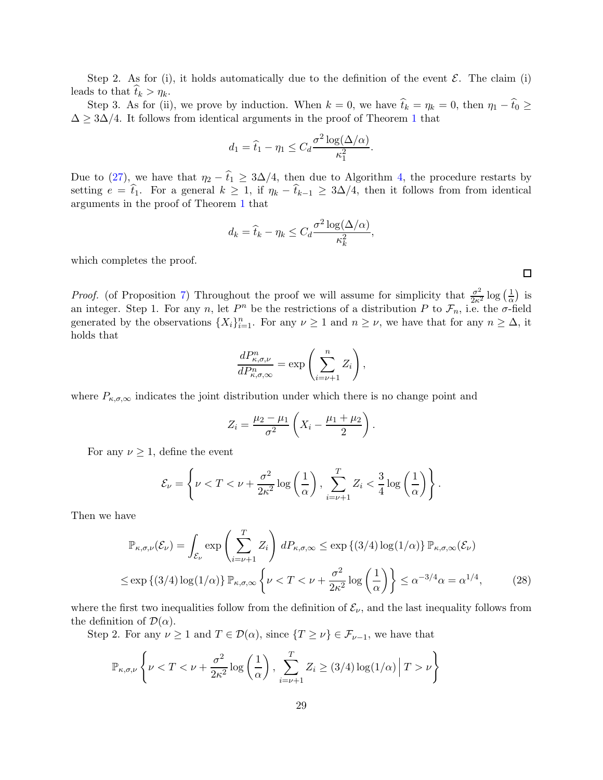Step 2. As for (i), it holds automatically due to the definition of the event  $\mathcal{E}$ . The claim (i) leads to that  $t_k > \eta_k$ .

Step 3. As for (ii), we prove by induction. When  $k = 0$ , we have  $\hat{t}_k = \eta_k = 0$ , then  $\eta_1 - \hat{t}_0 \geq 0$  $\Delta \geq 3\Delta/4$ . It follows from identical arguments in the proof of Theorem [1](#page-6-0) that

$$
d_1 = \hat{t}_1 - \eta_1 \leq C_d \frac{\sigma^2 \log(\Delta/\alpha)}{\kappa_1^2}.
$$

Due to [\(27\)](#page-27-0), we have that  $\eta_2 - \hat{t}_1 \geq 3\Delta/4$ , then due to Algorithm [4,](#page-13-0) the procedure restarts by setting  $e = \hat{t}_1$ . For a general  $k \geq 1$ , if  $\eta_k - \hat{t}_{k-1} \geq 3\Delta/4$ , then it follows from from identical arguments in the proof of Theorem [1](#page-6-0) that

$$
d_k = \hat{t}_k - \eta_k \le C_d \frac{\sigma^2 \log(\Delta/\alpha)}{\kappa_k^2},
$$

which completes the proof.

*Proof.* (of Proposition [7\)](#page-15-1) Throughout the proof we will assume for simplicity that  $\frac{\sigma^2}{2\kappa^2} \log \left(\frac{1}{\alpha}\right)$  $\frac{1}{\alpha}$ ) is an integer. Step 1. For any n, let  $P^n$  be the restrictions of a distribution P to  $\mathcal{F}_n$ , i.e. the  $\sigma$ -field generated by the observations  $\{X_i\}_{i=1}^n$ . For any  $\nu \geq 1$  and  $n \geq \nu$ , we have that for any  $n \geq \Delta$ , it holds that

$$
\frac{dP_{\kappa,\sigma,\nu}^n}{dP_{\kappa,\sigma,\infty}^n} = \exp\left(\sum_{i=\nu+1}^n Z_i\right),\,
$$

where  $P_{\kappa,\sigma,\infty}$  indicates the joint distribution under which there is no change point and

$$
Z_i = \frac{\mu_2 - \mu_1}{\sigma^2} \left( X_i - \frac{\mu_1 + \mu_2}{2} \right).
$$

For any  $\nu \geq 1$ , define the event

$$
\mathcal{E}_{\nu} = \left\{ \nu < T < \nu + \frac{\sigma^2}{2\kappa^2} \log \left( \frac{1}{\alpha} \right), \sum_{i=\nu+1}^T Z_i < \frac{3}{4} \log \left( \frac{1}{\alpha} \right) \right\}.
$$

Then we have

$$
\mathbb{P}_{\kappa,\sigma,\nu}(\mathcal{E}_{\nu}) = \int_{\mathcal{E}_{\nu}} \exp\left(\sum_{i=\nu+1}^{T} Z_i\right) dP_{\kappa,\sigma,\infty} \le \exp\left\{(3/4) \log(1/\alpha)\right\} \mathbb{P}_{\kappa,\sigma,\infty}(\mathcal{E}_{\nu})
$$
  

$$
\le \exp\left\{(3/4) \log(1/\alpha)\right\} \mathbb{P}_{\kappa,\sigma,\infty} \left\{\nu < T < \nu + \frac{\sigma^2}{2\kappa^2} \log\left(\frac{1}{\alpha}\right)\right\} \le \alpha^{-3/4} \alpha = \alpha^{1/4},\tag{28}
$$

where the first two inequalities follow from the definition of  $\mathcal{E}_{\nu}$ , and the last inequality follows from the definition of  $\mathcal{D}(\alpha)$ .

Step 2. For any  $\nu \geq 1$  and  $T \in \mathcal{D}(\alpha)$ , since  $\{T \geq \nu\} \in \mathcal{F}_{\nu-1}$ , we have that

$$
\mathbb{P}_{\kappa,\sigma,\nu}\left\{\nu < T < \nu + \frac{\sigma^2}{2\kappa^2}\log\left(\frac{1}{\alpha}\right), \sum_{i=\nu+1}^T Z_i \ge (3/4)\log(1/\alpha) \middle| T > \nu\right\}
$$

<span id="page-28-0"></span>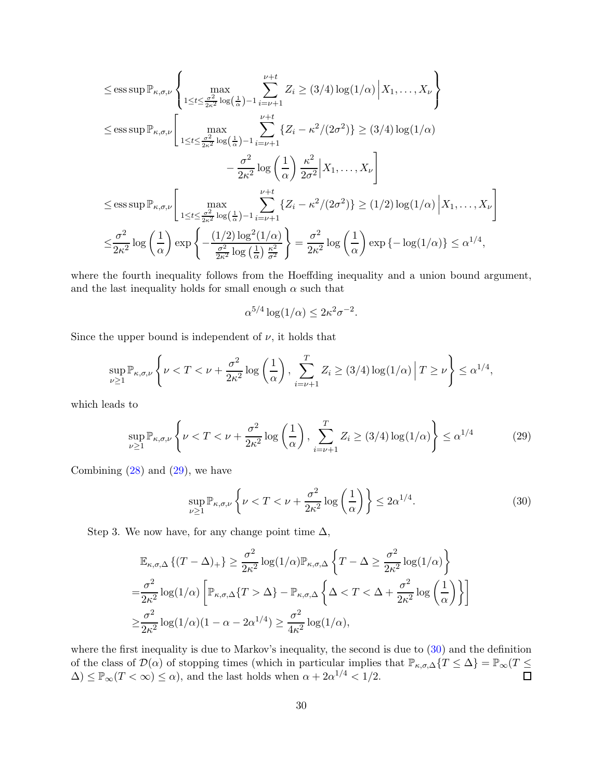$$
\leq \operatorname{ess\,sup} \mathbb{P}_{\kappa,\sigma,\nu} \left\{ \max_{1 \leq t \leq \frac{\sigma^2}{2\kappa^2} \log\left(\frac{1}{\alpha}\right) - 1} \sum_{i=\nu+1}^{\nu+t} Z_i \geq (3/4) \log(1/\alpha) \Big| X_1, \dots, X_{\nu} \right\}
$$
  
\n
$$
\leq \operatorname{ess\,sup} \mathbb{P}_{\kappa,\sigma,\nu} \left[ \max_{1 \leq t \leq \frac{\sigma^2}{2\kappa^2} \log\left(\frac{1}{\alpha}\right) - 1} \sum_{i=\nu+1}^{\nu+t} \{Z_i - \kappa^2/(2\sigma^2)\} \geq (3/4) \log(1/\alpha)
$$
  
\n
$$
- \frac{\sigma^2}{2\kappa^2} \log\left(\frac{1}{\alpha}\right) \frac{\kappa^2}{2\sigma^2} \Big| X_1, \dots, X_{\nu} \right]
$$
  
\n
$$
\leq \operatorname{ess\,sup} \mathbb{P}_{\kappa,\sigma,\nu} \left[ \max_{1 \leq t \leq \frac{\sigma^2}{2\kappa^2} \log\left(\frac{1}{\alpha}\right) - 1} \sum_{i=\nu+1}^{\nu+t} \{Z_i - \kappa^2/(2\sigma^2)\} \geq (1/2) \log(1/\alpha) \Big| X_1, \dots, X_{\nu} \right]
$$
  
\n
$$
\leq \frac{\sigma^2}{2\kappa^2} \log\left(\frac{1}{\alpha}\right) \exp\left\{-\frac{(1/2) \log^2(1/\alpha)}{\frac{\sigma^2}{2\kappa^2} \log\left(\frac{1}{\alpha}\right) \frac{\kappa^2}{\sigma^2}}\right\} = \frac{\sigma^2}{2\kappa^2} \log\left(\frac{1}{\alpha}\right) \exp\left\{-\log(1/\alpha)\right\} \leq \alpha^{1/4},
$$

where the fourth inequality follows from the Hoeffding inequality and a union bound argument, and the last inequality holds for small enough  $\alpha$  such that

<span id="page-29-0"></span>
$$
\alpha^{5/4} \log(1/\alpha) \le 2\kappa^2 \sigma^{-2}.
$$

Since the upper bound is independent of  $\nu$ , it holds that

$$
\sup_{\nu\geq 1} \mathbb{P}_{\kappa,\sigma,\nu}\left\{\nu < T < \nu + \frac{\sigma^2}{2\kappa^2} \log\left(\frac{1}{\alpha}\right), \sum_{i=\nu+1}^T Z_i \geq (3/4) \log(1/\alpha) \middle| T \geq \nu \right\} \leq \alpha^{1/4},
$$

which leads to

$$
\sup_{\nu \ge 1} \mathbb{P}_{\kappa,\sigma,\nu} \left\{ \nu < T < \nu + \frac{\sigma^2}{2\kappa^2} \log \left( \frac{1}{\alpha} \right), \sum_{i=\nu+1}^T Z_i \ge (3/4) \log(1/\alpha) \right\} \le \alpha^{1/4} \tag{29}
$$

Combining  $(28)$  and  $(29)$ , we have

<span id="page-29-1"></span>
$$
\sup_{\nu \ge 1} \mathbb{P}_{\kappa,\sigma,\nu} \left\{ \nu < T < \nu + \frac{\sigma^2}{2\kappa^2} \log \left( \frac{1}{\alpha} \right) \right\} \le 2\alpha^{1/4}.\tag{30}
$$

Step 3. We now have, for any change point time  $\Delta$ ,

$$
\mathbb{E}_{\kappa,\sigma,\Delta} \left\{ (T - \Delta)_{+} \right\} \geq \frac{\sigma^2}{2\kappa^2} \log(1/\alpha) \mathbb{P}_{\kappa,\sigma,\Delta} \left\{ T - \Delta \geq \frac{\sigma^2}{2\kappa^2} \log(1/\alpha) \right\}
$$
  
=  $\frac{\sigma^2}{2\kappa^2} \log(1/\alpha) \left[ \mathbb{P}_{\kappa,\sigma,\Delta} \{ T > \Delta \} - \mathbb{P}_{\kappa,\sigma,\Delta} \left\{ \Delta < T < \Delta + \frac{\sigma^2}{2\kappa^2} \log \left( \frac{1}{\alpha} \right) \right\} \right]$   
 $\geq \frac{\sigma^2}{2\kappa^2} \log(1/\alpha)(1 - \alpha - 2\alpha^{1/4}) \geq \frac{\sigma^2}{4\kappa^2} \log(1/\alpha),$ 

where the first inequality is due to Markov's inequality, the second is due to [\(30\)](#page-29-1) and the definition of the class of  $\mathcal{D}(\alpha)$  of stopping times (which in particular implies that  $\mathbb{P}_{\kappa,\sigma,\Delta}\{T\leq \Delta\} = \mathbb{P}_{\infty}(T\leq \Delta)$  $\Delta$ )  $\leq \mathbb{P}_{\infty}(T < \infty) \leq \alpha$ , and the last holds when  $\alpha + 2\alpha^{1/4} < 1/2$ .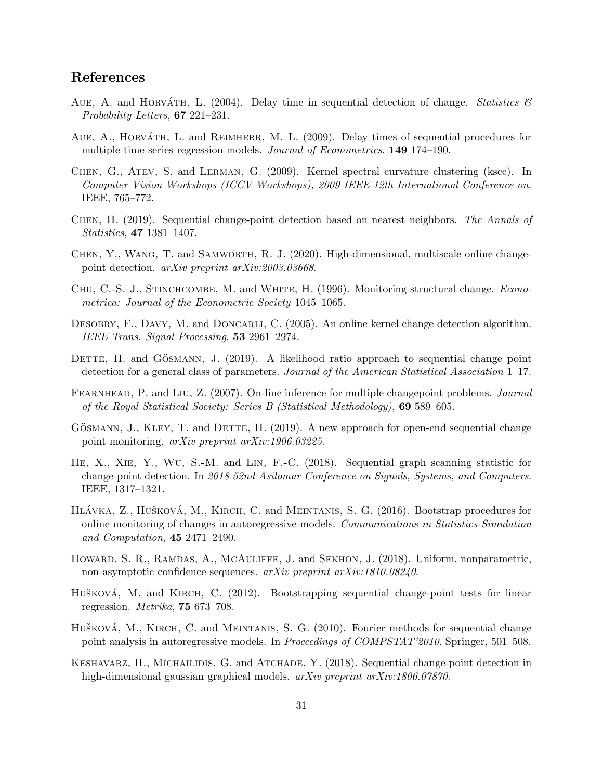# References

- <span id="page-30-3"></span>AUE, A. and HORVÁTH, L. (2004). Delay time in sequential detection of change. Statistics  $\mathscr B$ Probability Letters, 67 221–231.
- <span id="page-30-4"></span>AUE, A., HORVATH, L. and REIMHERR, M. L. (2009). Delay times of sequential procedures for multiple time series regression models. Journal of Econometrics, 149 174–190.
- <span id="page-30-1"></span>Chen, G., Atev, S. and Lerman, G. (2009). Kernel spectral curvature clustering (kscc). In Computer Vision Workshops (ICCV Workshops), 2009 IEEE 12th International Conference on. IEEE, 765–772.
- <span id="page-30-11"></span>Chen, H. (2019). Sequential change-point detection based on nearest neighbors. The Annals of Statistics, 47 1381–1407.
- <span id="page-30-0"></span>Chen, Y., Wang, T. and Samworth, R. J. (2020). High-dimensional, multiscale online changepoint detection. *arXiv preprint arXiv:2003.03668*.
- <span id="page-30-2"></span>CHU, C.-S. J., STINCHCOMBE, M. and WHITE, H. (1996). Monitoring structural change. *Econo*metrica: Journal of the Econometric Society 1045–1065.
- <span id="page-30-8"></span>DESOBRY, F., DAVY, M. and DONCARLI, C. (2005). An online kernel change detection algorithm. IEEE Trans. Signal Processing, 53 2961–2974.
- <span id="page-30-12"></span>DETTE, H. and GÖSMANN, J.  $(2019)$ . A likelihood ratio approach to sequential change point detection for a general class of parameters. Journal of the American Statistical Association 1–17.
- <span id="page-30-9"></span>FEARNHEAD, P. and LIU, Z. (2007). On-line inference for multiple changepoint problems. Journal of the Royal Statistical Society: Series B (Statistical Methodology), 69 589–605.
- <span id="page-30-13"></span>GÖSMANN, J., KLEY, T. and DETTE, H. (2019). A new approach for open-end sequential change point monitoring. arXiv preprint arXiv:1906.03225.
- <span id="page-30-10"></span>He, X., Xie, Y., Wu, S.-M. and Lin, F.-C. (2018). Sequential graph scanning statistic for change-point detection. In 2018 52nd Asilomar Conference on Signals, Systems, and Computers. IEEE, 1317–1321.
- <span id="page-30-7"></span>HLÁVKA, Z., HUŠKOVÁ, M., KIRCH, C. and MEINTANIS, S. G. (2016). Bootstrap procedures for online monitoring of changes in autoregressive models. Communications in Statistics-Simulation and Computation, 45 2471–2490.
- <span id="page-30-15"></span>HOWARD, S. R., RAMDAS, A., MCAULIFFE, J. and SEKHON, J. (2018). Uniform, nonparametric, non-asymptotic confidence sequences. arXiv preprint arXiv:1810.08240.
- <span id="page-30-5"></span>Hušková, M. and KIRCH, C. (2012). Bootstrapping sequential change-point tests for linear regression. Metrika, 75 673–708.
- <span id="page-30-6"></span>HUŠKOVÁ, M., KIRCH, C. and MEINTANIS, S. G. (2010). Fourier methods for sequential change point analysis in autoregressive models. In Proceedings of COMPSTAT'2010. Springer, 501–508.
- <span id="page-30-14"></span>KESHAVARZ, H., MICHAILIDIS, G. and ATCHADE, Y. (2018). Sequential change-point detection in high-dimensional gaussian graphical models. arXiv preprint arXiv:1806.07870.